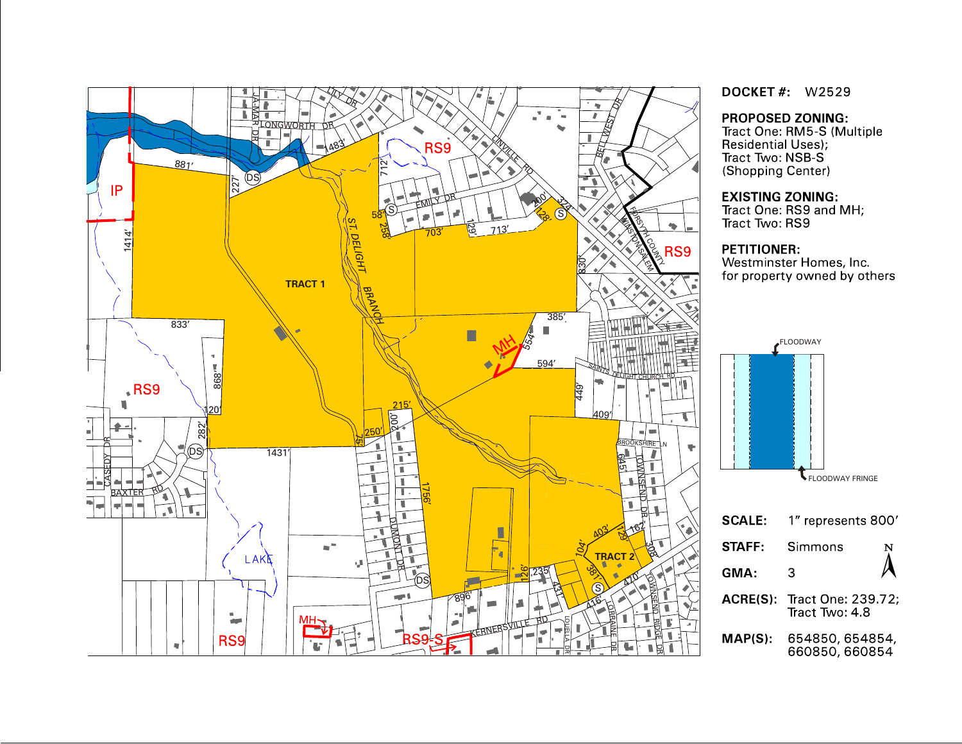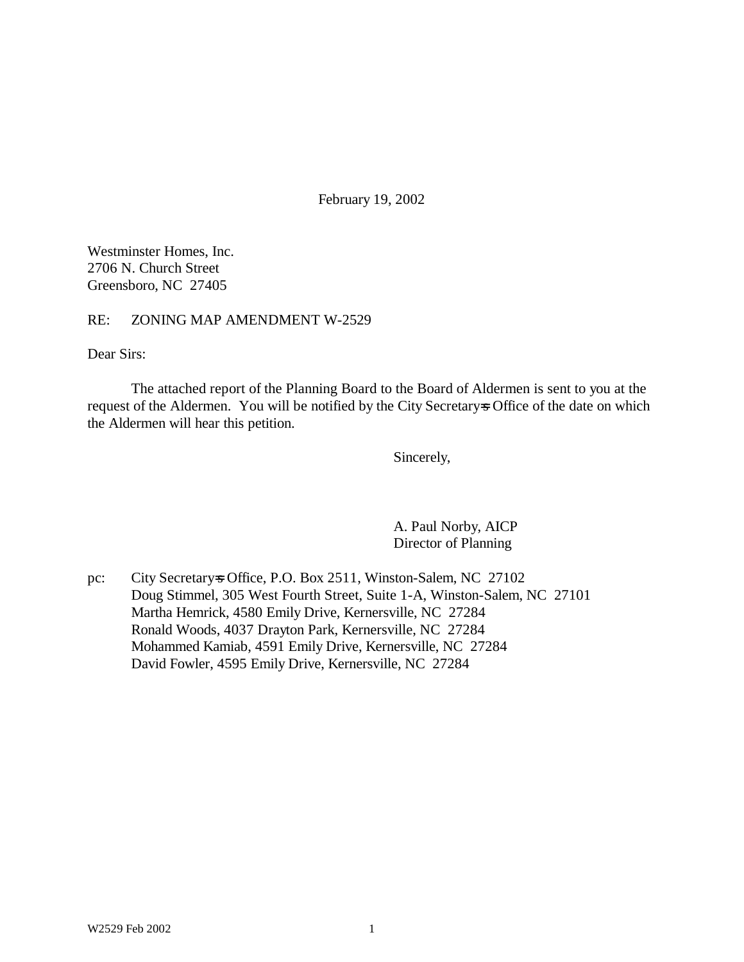February 19, 2002

Westminster Homes, Inc. 2706 N. Church Street Greensboro, NC 27405

RE: ZONING MAP AMENDMENT W-2529

Dear Sirs:

The attached report of the Planning Board to the Board of Aldermen is sent to you at the request of the Aldermen. You will be notified by the City Secretary=s Office of the date on which the Aldermen will hear this petition.

Sincerely,

A. Paul Norby, AICP Director of Planning

pc: City Secretary=s Office, P.O. Box 2511, Winston-Salem, NC 27102 Doug Stimmel, 305 West Fourth Street, Suite 1-A, Winston-Salem, NC 27101 Martha Hemrick, 4580 Emily Drive, Kernersville, NC 27284 Ronald Woods, 4037 Drayton Park, Kernersville, NC 27284 Mohammed Kamiab, 4591 Emily Drive, Kernersville, NC 27284 David Fowler, 4595 Emily Drive, Kernersville, NC 27284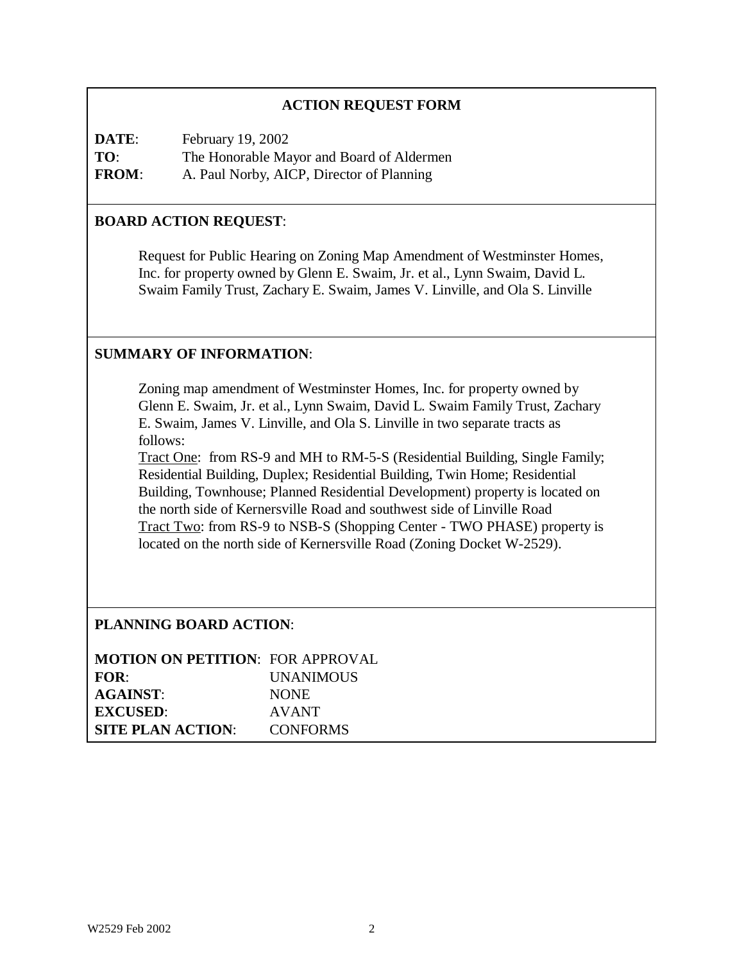### **ACTION REQUEST FORM**

**DATE:** February 19, 2002 **TO**: The Honorable Mayor and Board of Aldermen **FROM**: A. Paul Norby, AICP, Director of Planning

### **BOARD ACTION REQUEST**:

Request for Public Hearing on Zoning Map Amendment of Westminster Homes, Inc. for property owned by Glenn E. Swaim, Jr. et al., Lynn Swaim, David L. Swaim Family Trust, Zachary E. Swaim, James V. Linville, and Ola S. Linville

#### **SUMMARY OF INFORMATION**:

Zoning map amendment of Westminster Homes, Inc. for property owned by Glenn E. Swaim, Jr. et al., Lynn Swaim, David L. Swaim Family Trust, Zachary E. Swaim, James V. Linville, and Ola S. Linville in two separate tracts as follows:

Tract One: from RS-9 and MH to RM-5-S (Residential Building, Single Family; Residential Building, Duplex; Residential Building, Twin Home; Residential Building, Townhouse; Planned Residential Development) property is located on the north side of Kernersville Road and southwest side of Linville Road Tract Two: from RS-9 to NSB-S (Shopping Center - TWO PHASE) property is located on the north side of Kernersville Road (Zoning Docket W-2529).

### **PLANNING BOARD ACTION**:

| <b>MOTION ON PETITION: FOR APPROVAL</b> |                  |
|-----------------------------------------|------------------|
| FOR:                                    | <b>UNANIMOUS</b> |
| <b>AGAINST:</b>                         | <b>NONE</b>      |
| <b>EXCUSED:</b>                         | <b>AVANT</b>     |
| <b>SITE PLAN ACTION:</b>                | <b>CONFORMS</b>  |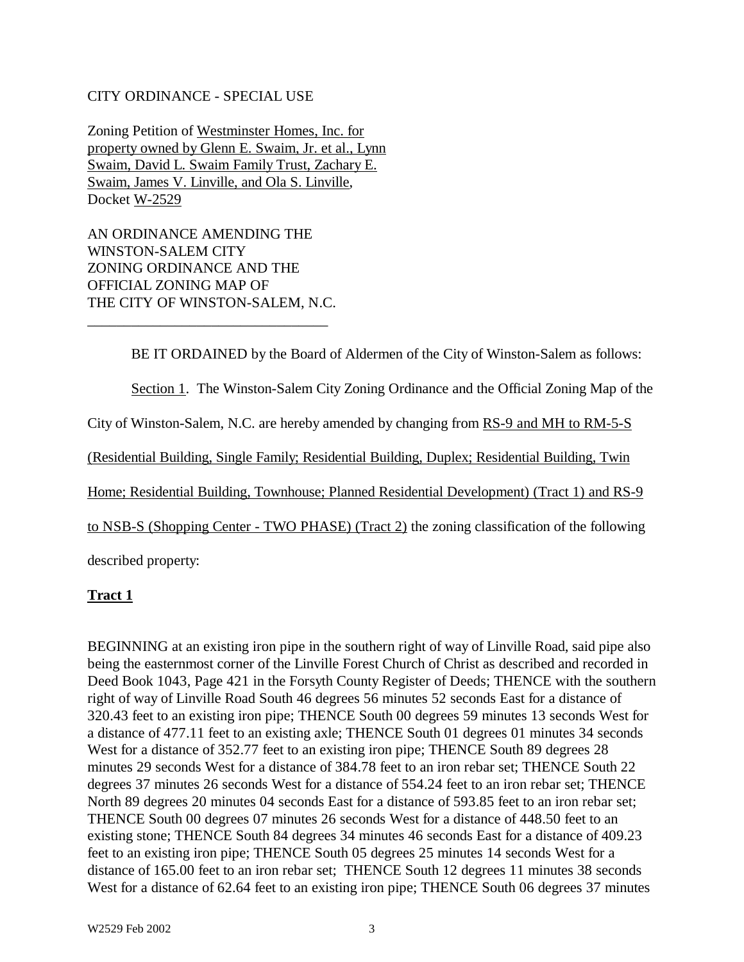#### CITY ORDINANCE - SPECIAL USE

Zoning Petition of Westminster Homes, Inc. for property owned by Glenn E. Swaim, Jr. et al., Lynn Swaim, David L. Swaim Family Trust, Zachary E. Swaim, James V. Linville, and Ola S. Linville, Docket W-2529

AN ORDINANCE AMENDING THE WINSTON-SALEM CITY ZONING ORDINANCE AND THE OFFICIAL ZONING MAP OF THE CITY OF WINSTON-SALEM, N.C. \_\_\_\_\_\_\_\_\_\_\_\_\_\_\_\_\_\_\_\_\_\_\_\_\_\_\_\_\_\_\_\_\_

BE IT ORDAINED by the Board of Aldermen of the City of Winston-Salem as follows:

Section 1. The Winston-Salem City Zoning Ordinance and the Official Zoning Map of the

City of Winston-Salem, N.C. are hereby amended by changing from RS-9 and MH to RM-5-S

(Residential Building, Single Family; Residential Building, Duplex; Residential Building, Twin

Home; Residential Building, Townhouse; Planned Residential Development) (Tract 1) and RS-9

to NSB-S (Shopping Center - TWO PHASE) (Tract 2) the zoning classification of the following

described property:

### **Tract 1**

BEGINNING at an existing iron pipe in the southern right of way of Linville Road, said pipe also being the easternmost corner of the Linville Forest Church of Christ as described and recorded in Deed Book 1043, Page 421 in the Forsyth County Register of Deeds; THENCE with the southern right of way of Linville Road South 46 degrees 56 minutes 52 seconds East for a distance of 320.43 feet to an existing iron pipe; THENCE South 00 degrees 59 minutes 13 seconds West for a distance of 477.11 feet to an existing axle; THENCE South 01 degrees 01 minutes 34 seconds West for a distance of 352.77 feet to an existing iron pipe; THENCE South 89 degrees 28 minutes 29 seconds West for a distance of 384.78 feet to an iron rebar set; THENCE South 22 degrees 37 minutes 26 seconds West for a distance of 554.24 feet to an iron rebar set; THENCE North 89 degrees 20 minutes 04 seconds East for a distance of 593.85 feet to an iron rebar set; THENCE South 00 degrees 07 minutes 26 seconds West for a distance of 448.50 feet to an existing stone; THENCE South 84 degrees 34 minutes 46 seconds East for a distance of 409.23 feet to an existing iron pipe; THENCE South 05 degrees 25 minutes 14 seconds West for a distance of 165.00 feet to an iron rebar set; THENCE South 12 degrees 11 minutes 38 seconds West for a distance of 62.64 feet to an existing iron pipe; THENCE South 06 degrees 37 minutes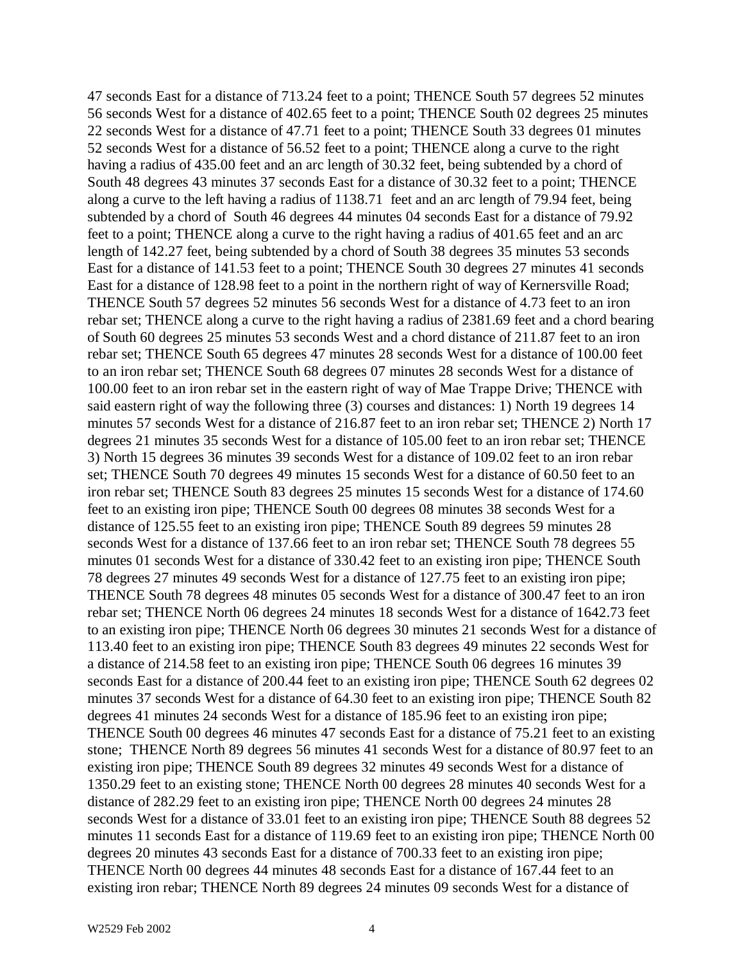47 seconds East for a distance of 713.24 feet to a point; THENCE South 57 degrees 52 minutes 56 seconds West for a distance of 402.65 feet to a point; THENCE South 02 degrees 25 minutes 22 seconds West for a distance of 47.71 feet to a point; THENCE South 33 degrees 01 minutes 52 seconds West for a distance of 56.52 feet to a point; THENCE along a curve to the right having a radius of 435.00 feet and an arc length of 30.32 feet, being subtended by a chord of South 48 degrees 43 minutes 37 seconds East for a distance of 30.32 feet to a point; THENCE along a curve to the left having a radius of 1138.71 feet and an arc length of 79.94 feet, being subtended by a chord of South 46 degrees 44 minutes 04 seconds East for a distance of 79.92 feet to a point; THENCE along a curve to the right having a radius of 401.65 feet and an arc length of 142.27 feet, being subtended by a chord of South 38 degrees 35 minutes 53 seconds East for a distance of 141.53 feet to a point; THENCE South 30 degrees 27 minutes 41 seconds East for a distance of 128.98 feet to a point in the northern right of way of Kernersville Road; THENCE South 57 degrees 52 minutes 56 seconds West for a distance of 4.73 feet to an iron rebar set; THENCE along a curve to the right having a radius of 2381.69 feet and a chord bearing of South 60 degrees 25 minutes 53 seconds West and a chord distance of 211.87 feet to an iron rebar set; THENCE South 65 degrees 47 minutes 28 seconds West for a distance of 100.00 feet to an iron rebar set; THENCE South 68 degrees 07 minutes 28 seconds West for a distance of 100.00 feet to an iron rebar set in the eastern right of way of Mae Trappe Drive; THENCE with said eastern right of way the following three (3) courses and distances: 1) North 19 degrees 14 minutes 57 seconds West for a distance of 216.87 feet to an iron rebar set; THENCE 2) North 17 degrees 21 minutes 35 seconds West for a distance of 105.00 feet to an iron rebar set; THENCE 3) North 15 degrees 36 minutes 39 seconds West for a distance of 109.02 feet to an iron rebar set; THENCE South 70 degrees 49 minutes 15 seconds West for a distance of 60.50 feet to an iron rebar set; THENCE South 83 degrees 25 minutes 15 seconds West for a distance of 174.60 feet to an existing iron pipe; THENCE South 00 degrees 08 minutes 38 seconds West for a distance of 125.55 feet to an existing iron pipe; THENCE South 89 degrees 59 minutes 28 seconds West for a distance of 137.66 feet to an iron rebar set; THENCE South 78 degrees 55 minutes 01 seconds West for a distance of 330.42 feet to an existing iron pipe; THENCE South 78 degrees 27 minutes 49 seconds West for a distance of 127.75 feet to an existing iron pipe; THENCE South 78 degrees 48 minutes 05 seconds West for a distance of 300.47 feet to an iron rebar set; THENCE North 06 degrees 24 minutes 18 seconds West for a distance of 1642.73 feet to an existing iron pipe; THENCE North 06 degrees 30 minutes 21 seconds West for a distance of 113.40 feet to an existing iron pipe; THENCE South 83 degrees 49 minutes 22 seconds West for a distance of 214.58 feet to an existing iron pipe; THENCE South 06 degrees 16 minutes 39 seconds East for a distance of 200.44 feet to an existing iron pipe; THENCE South 62 degrees 02 minutes 37 seconds West for a distance of 64.30 feet to an existing iron pipe; THENCE South 82 degrees 41 minutes 24 seconds West for a distance of 185.96 feet to an existing iron pipe; THENCE South 00 degrees 46 minutes 47 seconds East for a distance of 75.21 feet to an existing stone; THENCE North 89 degrees 56 minutes 41 seconds West for a distance of 80.97 feet to an existing iron pipe; THENCE South 89 degrees 32 minutes 49 seconds West for a distance of 1350.29 feet to an existing stone; THENCE North 00 degrees 28 minutes 40 seconds West for a distance of 282.29 feet to an existing iron pipe; THENCE North 00 degrees 24 minutes 28 seconds West for a distance of 33.01 feet to an existing iron pipe; THENCE South 88 degrees 52 minutes 11 seconds East for a distance of 119.69 feet to an existing iron pipe; THENCE North 00 degrees 20 minutes 43 seconds East for a distance of 700.33 feet to an existing iron pipe; THENCE North 00 degrees 44 minutes 48 seconds East for a distance of 167.44 feet to an existing iron rebar; THENCE North 89 degrees 24 minutes 09 seconds West for a distance of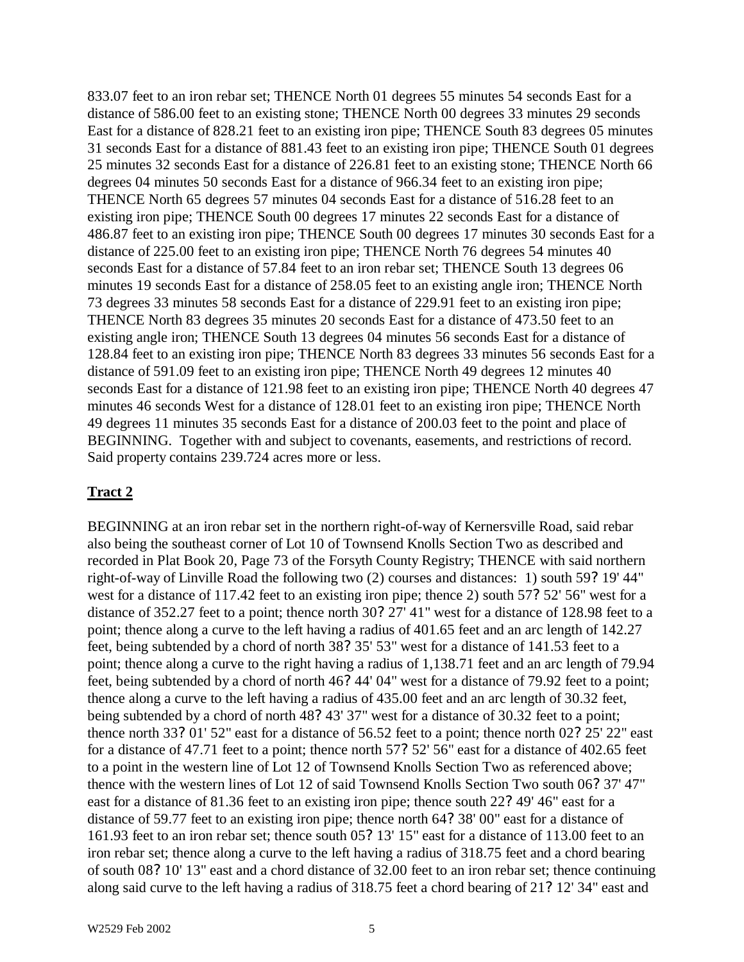833.07 feet to an iron rebar set; THENCE North 01 degrees 55 minutes 54 seconds East for a distance of 586.00 feet to an existing stone; THENCE North 00 degrees 33 minutes 29 seconds East for a distance of 828.21 feet to an existing iron pipe; THENCE South 83 degrees 05 minutes 31 seconds East for a distance of 881.43 feet to an existing iron pipe; THENCE South 01 degrees 25 minutes 32 seconds East for a distance of 226.81 feet to an existing stone; THENCE North 66 degrees 04 minutes 50 seconds East for a distance of 966.34 feet to an existing iron pipe; THENCE North 65 degrees 57 minutes 04 seconds East for a distance of 516.28 feet to an existing iron pipe; THENCE South 00 degrees 17 minutes 22 seconds East for a distance of 486.87 feet to an existing iron pipe; THENCE South 00 degrees 17 minutes 30 seconds East for a distance of 225.00 feet to an existing iron pipe; THENCE North 76 degrees 54 minutes 40 seconds East for a distance of 57.84 feet to an iron rebar set; THENCE South 13 degrees 06 minutes 19 seconds East for a distance of 258.05 feet to an existing angle iron; THENCE North 73 degrees 33 minutes 58 seconds East for a distance of 229.91 feet to an existing iron pipe; THENCE North 83 degrees 35 minutes 20 seconds East for a distance of 473.50 feet to an existing angle iron; THENCE South 13 degrees 04 minutes 56 seconds East for a distance of 128.84 feet to an existing iron pipe; THENCE North 83 degrees 33 minutes 56 seconds East for a distance of 591.09 feet to an existing iron pipe; THENCE North 49 degrees 12 minutes 40 seconds East for a distance of 121.98 feet to an existing iron pipe; THENCE North 40 degrees 47 minutes 46 seconds West for a distance of 128.01 feet to an existing iron pipe; THENCE North 49 degrees 11 minutes 35 seconds East for a distance of 200.03 feet to the point and place of BEGINNING. Together with and subject to covenants, easements, and restrictions of record. Said property contains 239.724 acres more or less.

### **Tract 2**

BEGINNING at an iron rebar set in the northern right-of-way of Kernersville Road, said rebar also being the southeast corner of Lot 10 of Townsend Knolls Section Two as described and recorded in Plat Book 20, Page 73 of the Forsyth County Registry; THENCE with said northern right-of-way of Linville Road the following two (2) courses and distances: 1) south 59? 19' 44" west for a distance of 117.42 feet to an existing iron pipe; thence 2) south 57? 52' 56" west for a distance of 352.27 feet to a point; thence north 30?27' 41" west for a distance of 128.98 feet to a point; thence along a curve to the left having a radius of 401.65 feet and an arc length of 142.27 feet, being subtended by a chord of north 38? 35' 53" west for a distance of 141.53 feet to a point; thence along a curve to the right having a radius of 1,138.71 feet and an arc length of 79.94 feet, being subtended by a chord of north 46? 44' 04" west for a distance of 79.92 feet to a point; thence along a curve to the left having a radius of 435.00 feet and an arc length of 30.32 feet, being subtended by a chord of north 48?43' 37" west for a distance of 30.32 feet to a point; thence north 33?01' 52" east for a distance of 56.52 feet to a point; thence north 02?25' 22" east for a distance of 47.71 feet to a point; thence north 57? 52' 56" east for a distance of 402.65 feet to a point in the western line of Lot 12 of Townsend Knolls Section Two as referenced above; thence with the western lines of Lot 12 of said Townsend Knolls Section Two south 06? 37' 47" east for a distance of 81.36 feet to an existing iron pipe; thence south 22?49' 46" east for a distance of 59.77 feet to an existing iron pipe; thence north 64? 38' 00" east for a distance of 161.93 feet to an iron rebar set; thence south 05? 13' 15" east for a distance of 113.00 feet to an iron rebar set; thence along a curve to the left having a radius of 318.75 feet and a chord bearing of south 08? 10' 13" east and a chord distance of 32.00 feet to an iron rebar set; thence continuing along said curve to the left having a radius of 318.75 feet a chord bearing of 21? 12' 34" east and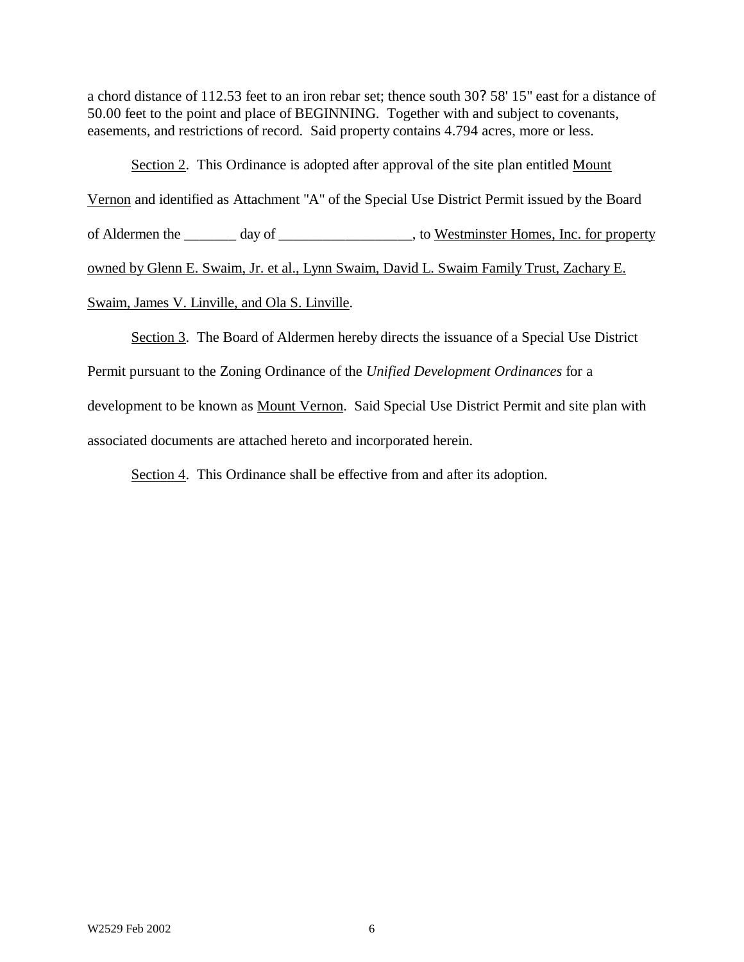a chord distance of 112.53 feet to an iron rebar set; thence south 30? 58' 15" east for a distance of 50.00 feet to the point and place of BEGINNING. Together with and subject to covenants, easements, and restrictions of record. Said property contains 4.794 acres, more or less.

Section 2. This Ordinance is adopted after approval of the site plan entitled Mount Vernon and identified as Attachment "A" of the Special Use District Permit issued by the Board of Aldermen the \_\_\_\_\_\_\_ day of \_\_\_\_\_\_\_\_\_\_\_\_\_\_\_\_\_\_, to Westminster Homes, Inc. for property owned by Glenn E. Swaim, Jr. et al., Lynn Swaim, David L. Swaim Family Trust, Zachary E. Swaim, James V. Linville, and Ola S. Linville.

Section 3. The Board of Aldermen hereby directs the issuance of a Special Use District Permit pursuant to the Zoning Ordinance of the *Unified Development Ordinances* for a development to be known as Mount Vernon. Said Special Use District Permit and site plan with associated documents are attached hereto and incorporated herein.

Section 4. This Ordinance shall be effective from and after its adoption.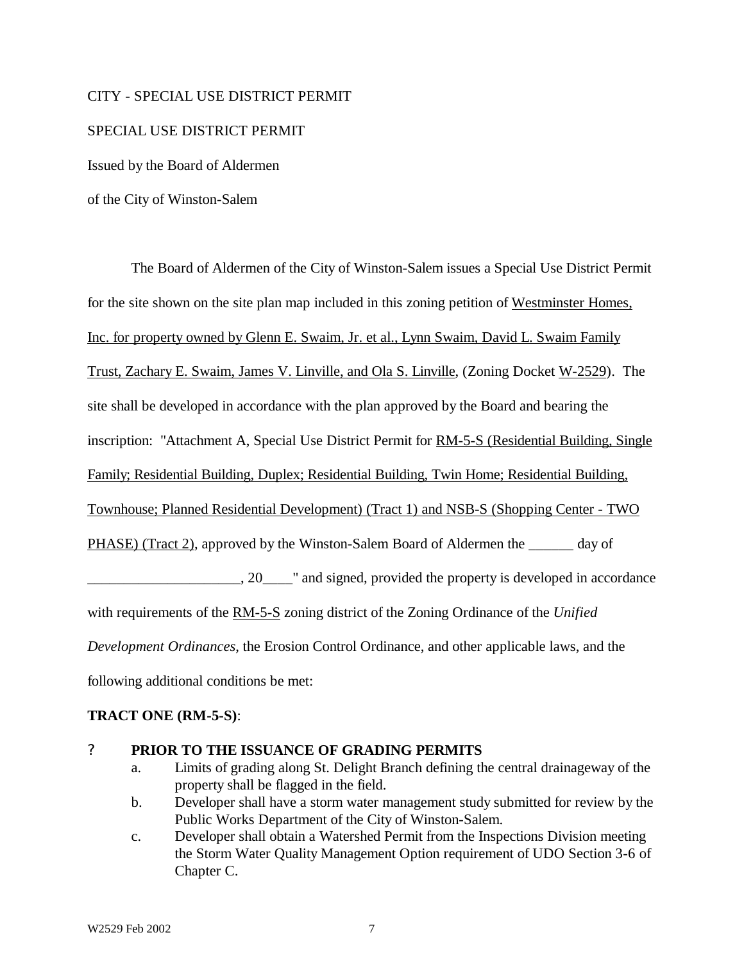### CITY - SPECIAL USE DISTRICT PERMIT

### SPECIAL USE DISTRICT PERMIT

Issued by the Board of Aldermen

of the City of Winston-Salem

The Board of Aldermen of the City of Winston-Salem issues a Special Use District Permit for the site shown on the site plan map included in this zoning petition of Westminster Homes, Inc. for property owned by Glenn E. Swaim, Jr. et al., Lynn Swaim, David L. Swaim Family Trust, Zachary E. Swaim, James V. Linville, and Ola S. Linville, (Zoning Docket W-2529). The site shall be developed in accordance with the plan approved by the Board and bearing the inscription: "Attachment A, Special Use District Permit for RM-5-S (Residential Building, Single Family; Residential Building, Duplex; Residential Building, Twin Home; Residential Building, Townhouse; Planned Residential Development) (Tract 1) and NSB-S (Shopping Center - TWO PHASE) (Tract 2), approved by the Winston-Salem Board of Aldermen the day of  $\Box$ , 20, we are also signed, provided the property is developed in accordance with requirements of the RM-5-S zoning district of the Zoning Ordinance of the *Unified Development Ordinances*, the Erosion Control Ordinance, and other applicable laws, and the following additional conditions be met:

### **TRACT ONE (RM-5-S)**:

### ? **PRIOR TO THE ISSUANCE OF GRADING PERMITS**

- a. Limits of grading along St. Delight Branch defining the central drainageway of the property shall be flagged in the field.
- b. Developer shall have a storm water management study submitted for review by the Public Works Department of the City of Winston-Salem.
- c. Developer shall obtain a Watershed Permit from the Inspections Division meeting the Storm Water Quality Management Option requirement of UDO Section 3-6 of Chapter C.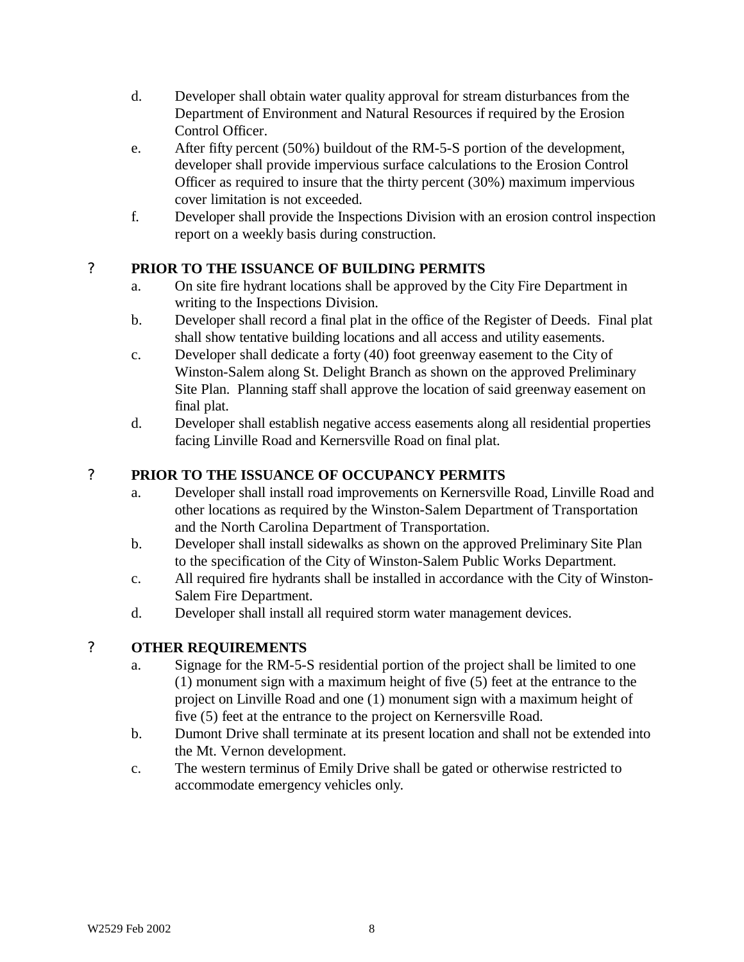- d. Developer shall obtain water quality approval for stream disturbances from the Department of Environment and Natural Resources if required by the Erosion Control Officer.
- e. After fifty percent (50%) buildout of the RM-5-S portion of the development, developer shall provide impervious surface calculations to the Erosion Control Officer as required to insure that the thirty percent (30%) maximum impervious cover limitation is not exceeded.
- f. Developer shall provide the Inspections Division with an erosion control inspection report on a weekly basis during construction.

# ? **PRIOR TO THE ISSUANCE OF BUILDING PERMITS**

- a. On site fire hydrant locations shall be approved by the City Fire Department in writing to the Inspections Division.
- b. Developer shall record a final plat in the office of the Register of Deeds. Final plat shall show tentative building locations and all access and utility easements.
- c. Developer shall dedicate a forty (40) foot greenway easement to the City of Winston-Salem along St. Delight Branch as shown on the approved Preliminary Site Plan. Planning staff shall approve the location of said greenway easement on final plat.
- d. Developer shall establish negative access easements along all residential properties facing Linville Road and Kernersville Road on final plat.

# ? **PRIOR TO THE ISSUANCE OF OCCUPANCY PERMITS**

- a. Developer shall install road improvements on Kernersville Road, Linville Road and other locations as required by the Winston-Salem Department of Transportation and the North Carolina Department of Transportation.
- b. Developer shall install sidewalks as shown on the approved Preliminary Site Plan to the specification of the City of Winston-Salem Public Works Department.
- c. All required fire hydrants shall be installed in accordance with the City of Winston-Salem Fire Department.
- d. Developer shall install all required storm water management devices.

# ? **OTHER REQUIREMENTS**

- a. Signage for the RM-5-S residential portion of the project shall be limited to one (1) monument sign with a maximum height of five (5) feet at the entrance to the project on Linville Road and one (1) monument sign with a maximum height of five (5) feet at the entrance to the project on Kernersville Road.
- b. Dumont Drive shall terminate at its present location and shall not be extended into the Mt. Vernon development.
- c. The western terminus of Emily Drive shall be gated or otherwise restricted to accommodate emergency vehicles only.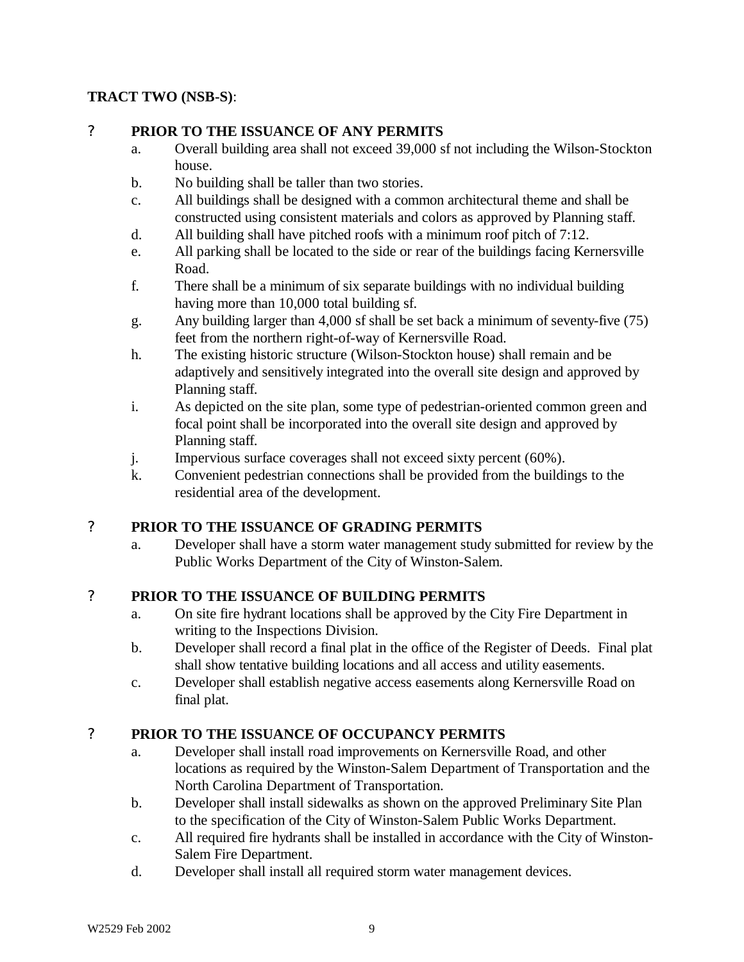# **TRACT TWO (NSB-S)**:

### ? **PRIOR TO THE ISSUANCE OF ANY PERMITS**

- a. Overall building area shall not exceed 39,000 sf not including the Wilson-Stockton house.
- b. No building shall be taller than two stories.
- c. All buildings shall be designed with a common architectural theme and shall be constructed using consistent materials and colors as approved by Planning staff.
- d. All building shall have pitched roofs with a minimum roof pitch of 7:12.
- e. All parking shall be located to the side or rear of the buildings facing Kernersville Road.
- f. There shall be a minimum of six separate buildings with no individual building having more than 10,000 total building sf.
- g. Any building larger than 4,000 sf shall be set back a minimum of seventy-five (75) feet from the northern right-of-way of Kernersville Road.
- h. The existing historic structure (Wilson-Stockton house) shall remain and be adaptively and sensitively integrated into the overall site design and approved by Planning staff.
- i. As depicted on the site plan, some type of pedestrian-oriented common green and focal point shall be incorporated into the overall site design and approved by Planning staff.
- j. Impervious surface coverages shall not exceed sixty percent (60%).
- k. Convenient pedestrian connections shall be provided from the buildings to the residential area of the development.

### ? **PRIOR TO THE ISSUANCE OF GRADING PERMITS**

a. Developer shall have a storm water management study submitted for review by the Public Works Department of the City of Winston-Salem.

### ? **PRIOR TO THE ISSUANCE OF BUILDING PERMITS**

- a. On site fire hydrant locations shall be approved by the City Fire Department in writing to the Inspections Division.
- b. Developer shall record a final plat in the office of the Register of Deeds. Final plat shall show tentative building locations and all access and utility easements.
- c. Developer shall establish negative access easements along Kernersville Road on final plat.

# ? **PRIOR TO THE ISSUANCE OF OCCUPANCY PERMITS**

- a. Developer shall install road improvements on Kernersville Road, and other locations as required by the Winston-Salem Department of Transportation and the North Carolina Department of Transportation.
- b. Developer shall install sidewalks as shown on the approved Preliminary Site Plan to the specification of the City of Winston-Salem Public Works Department.
- c. All required fire hydrants shall be installed in accordance with the City of Winston-Salem Fire Department.
- d. Developer shall install all required storm water management devices.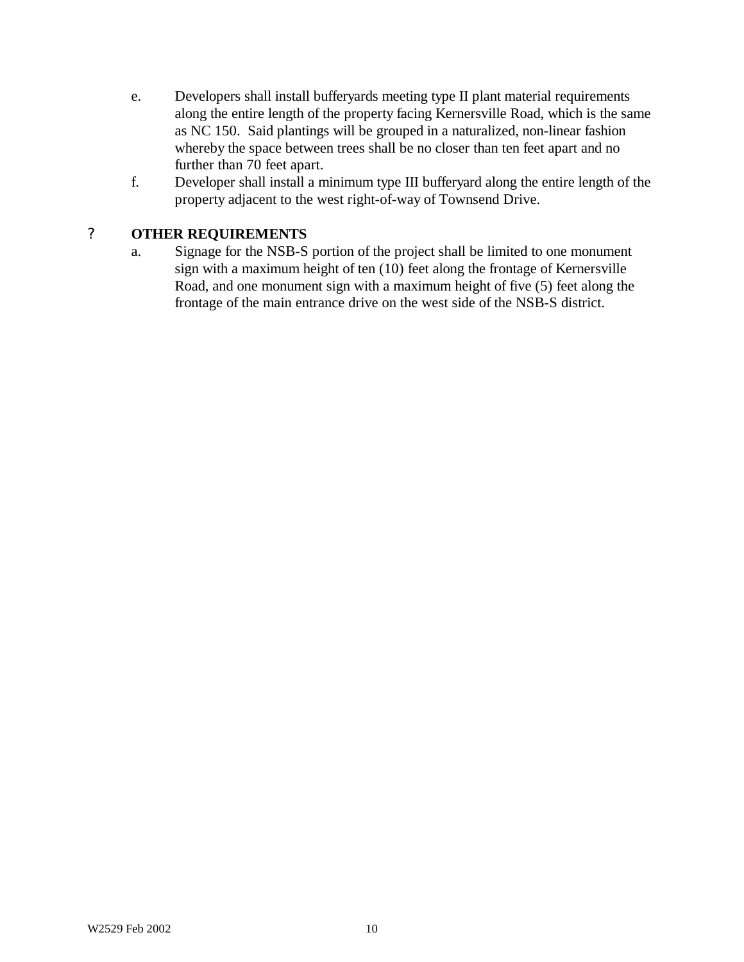- e. Developers shall install bufferyards meeting type II plant material requirements along the entire length of the property facing Kernersville Road, which is the same as NC 150. Said plantings will be grouped in a naturalized, non-linear fashion whereby the space between trees shall be no closer than ten feet apart and no further than 70 feet apart.
- f. Developer shall install a minimum type III bufferyard along the entire length of the property adjacent to the west right-of-way of Townsend Drive.

# ? **OTHER REQUIREMENTS**

a. Signage for the NSB-S portion of the project shall be limited to one monument sign with a maximum height of ten (10) feet along the frontage of Kernersville Road, and one monument sign with a maximum height of five (5) feet along the frontage of the main entrance drive on the west side of the NSB-S district.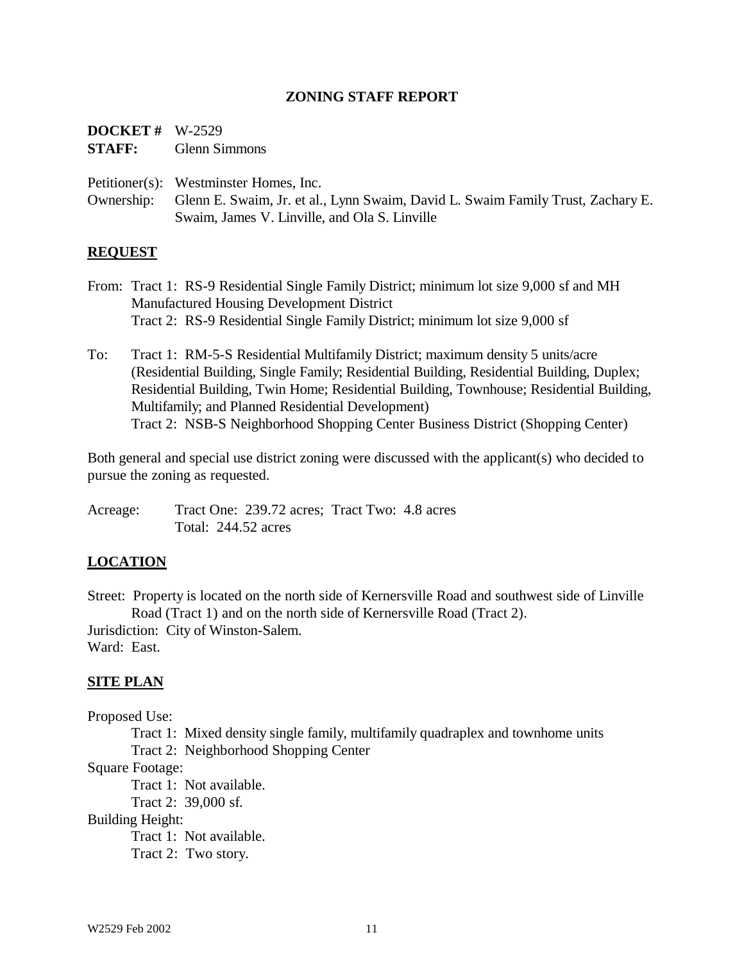#### **ZONING STAFF REPORT**

| <b>DOCKET</b> # $W-2529$ |                      |
|--------------------------|----------------------|
| <b>STAFF:</b>            | <b>Glenn Simmons</b> |

Petitioner(s): Westminster Homes, Inc.

Ownership: Glenn E. Swaim, Jr. et al., Lynn Swaim, David L. Swaim Family Trust, Zachary E. Swaim, James V. Linville, and Ola S. Linville

#### **REQUEST**

- From: Tract 1: RS-9 Residential Single Family District; minimum lot size 9,000 sf and MH Manufactured Housing Development District Tract 2: RS-9 Residential Single Family District; minimum lot size 9,000 sf
- To: Tract 1: RM-5-S Residential Multifamily District; maximum density 5 units/acre (Residential Building, Single Family; Residential Building, Residential Building, Duplex; Residential Building, Twin Home; Residential Building, Townhouse; Residential Building, Multifamily; and Planned Residential Development) Tract 2: NSB-S Neighborhood Shopping Center Business District (Shopping Center)

Both general and special use district zoning were discussed with the applicant(s) who decided to pursue the zoning as requested.

Acreage: Tract One: 239.72 acres; Tract Two: 4.8 acres Total: 244.52 acres

#### **LOCATION**

Street: Property is located on the north side of Kernersville Road and southwest side of Linville Road (Tract 1) and on the north side of Kernersville Road (Tract 2).

Jurisdiction: City of Winston-Salem.

Ward: East.

#### **SITE PLAN**

Proposed Use:

Tract 1: Mixed density single family, multifamily quadraplex and townhome units

Tract 2: Neighborhood Shopping Center

Square Footage:

Tract 1: Not available.

Tract 2: 39,000 sf.

Building Height:

Tract 1: Not available.

Tract 2: Two story.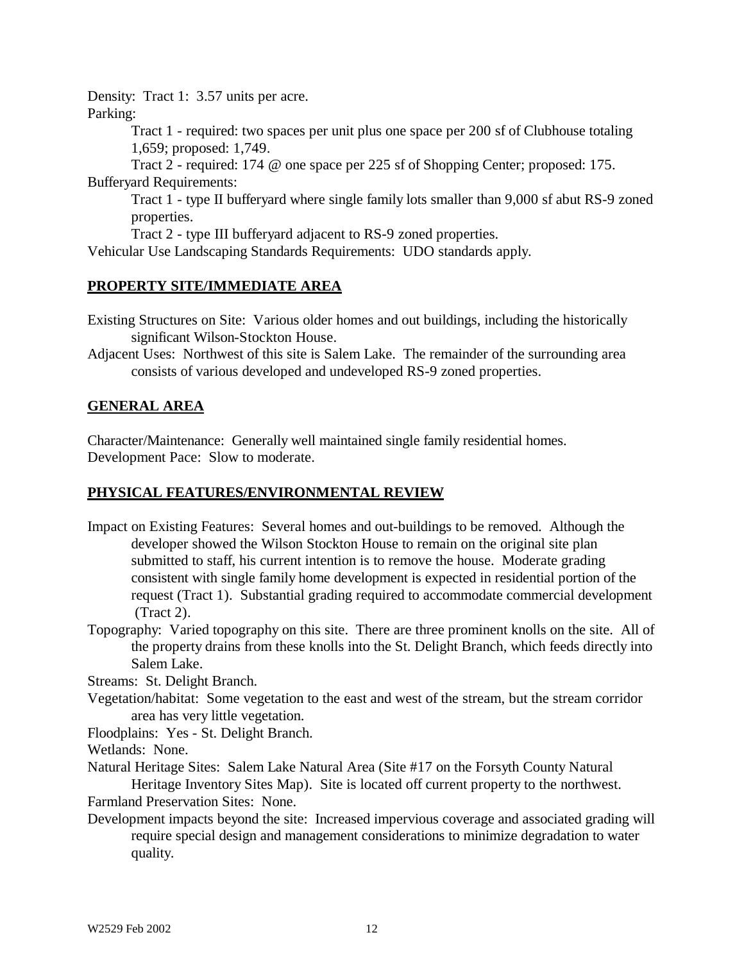Density: Tract 1: 3.57 units per acre.

Parking:

Tract 1 - required: two spaces per unit plus one space per 200 sf of Clubhouse totaling 1,659; proposed: 1,749.

Tract 2 - required: 174 @ one space per 225 sf of Shopping Center; proposed: 175. Bufferyard Requirements:

Tract 1 - type II bufferyard where single family lots smaller than 9,000 sf abut RS-9 zoned properties.

Tract 2 - type III bufferyard adjacent to RS-9 zoned properties.

Vehicular Use Landscaping Standards Requirements: UDO standards apply.

### **PROPERTY SITE/IMMEDIATE AREA**

Existing Structures on Site: Various older homes and out buildings, including the historically significant Wilson-Stockton House.

Adjacent Uses: Northwest of this site is Salem Lake. The remainder of the surrounding area consists of various developed and undeveloped RS-9 zoned properties.

# **GENERAL AREA**

Character/Maintenance: Generally well maintained single family residential homes. Development Pace: Slow to moderate.

### **PHYSICAL FEATURES/ENVIRONMENTAL REVIEW**

- Impact on Existing Features: Several homes and out-buildings to be removed. Although the developer showed the Wilson Stockton House to remain on the original site plan submitted to staff, his current intention is to remove the house. Moderate grading consistent with single family home development is expected in residential portion of the request (Tract 1). Substantial grading required to accommodate commercial development (Tract 2).
- Topography: Varied topography on this site. There are three prominent knolls on the site. All of the property drains from these knolls into the St. Delight Branch, which feeds directly into Salem Lake.

Streams: St. Delight Branch.

Vegetation/habitat: Some vegetation to the east and west of the stream, but the stream corridor area has very little vegetation.

Floodplains: Yes - St. Delight Branch.

Wetlands: None.

Natural Heritage Sites: Salem Lake Natural Area (Site #17 on the Forsyth County Natural Heritage Inventory Sites Map). Site is located off current property to the northwest.

Farmland Preservation Sites: None.

Development impacts beyond the site: Increased impervious coverage and associated grading will require special design and management considerations to minimize degradation to water quality.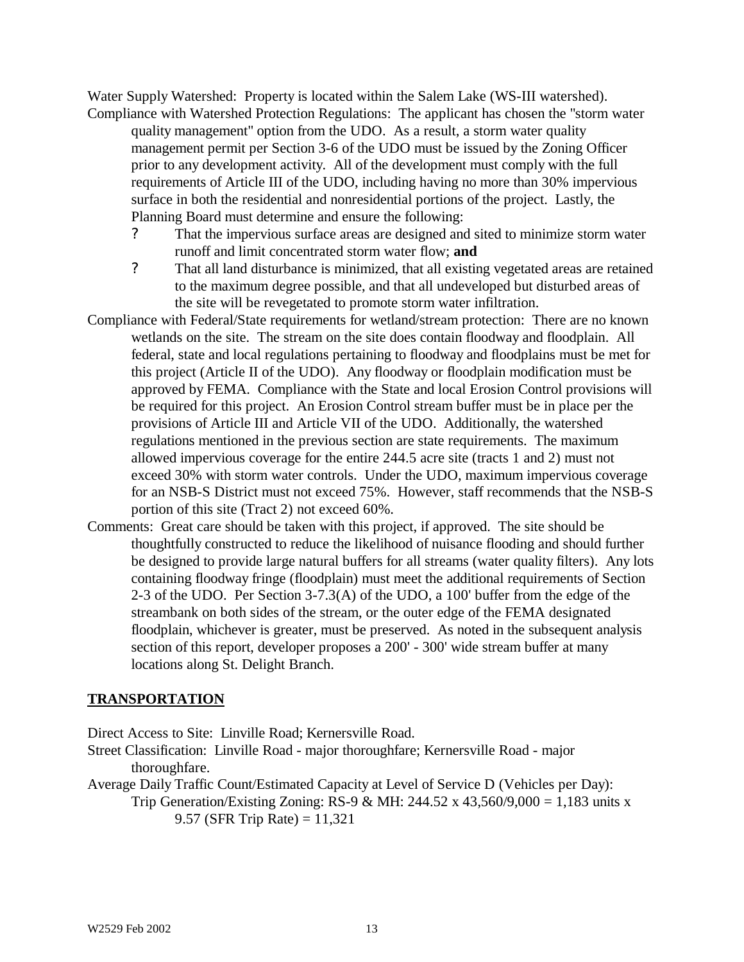Water Supply Watershed: Property is located within the Salem Lake (WS-III watershed). Compliance with Watershed Protection Regulations: The applicant has chosen the "storm water

quality management" option from the UDO. As a result, a storm water quality management permit per Section 3-6 of the UDO must be issued by the Zoning Officer prior to any development activity. All of the development must comply with the full requirements of Article III of the UDO, including having no more than 30% impervious surface in both the residential and nonresidential portions of the project. Lastly, the Planning Board must determine and ensure the following:

- ? That the impervious surface areas are designed and sited to minimize storm water runoff and limit concentrated storm water flow; **and**
- ? That all land disturbance is minimized, that all existing vegetated areas are retained to the maximum degree possible, and that all undeveloped but disturbed areas of the site will be revegetated to promote storm water infiltration.
- Compliance with Federal/State requirements for wetland/stream protection: There are no known wetlands on the site. The stream on the site does contain floodway and floodplain. All federal, state and local regulations pertaining to floodway and floodplains must be met for this project (Article II of the UDO). Any floodway or floodplain modification must be approved by FEMA. Compliance with the State and local Erosion Control provisions will be required for this project. An Erosion Control stream buffer must be in place per the provisions of Article III and Article VII of the UDO. Additionally, the watershed regulations mentioned in the previous section are state requirements. The maximum allowed impervious coverage for the entire 244.5 acre site (tracts 1 and 2) must not exceed 30% with storm water controls. Under the UDO, maximum impervious coverage for an NSB-S District must not exceed 75%. However, staff recommends that the NSB-S portion of this site (Tract 2) not exceed 60%.
- Comments: Great care should be taken with this project, if approved. The site should be thoughtfully constructed to reduce the likelihood of nuisance flooding and should further be designed to provide large natural buffers for all streams (water quality filters). Any lots containing floodway fringe (floodplain) must meet the additional requirements of Section 2-3 of the UDO. Per Section 3-7.3(A) of the UDO, a 100' buffer from the edge of the streambank on both sides of the stream, or the outer edge of the FEMA designated floodplain, whichever is greater, must be preserved. As noted in the subsequent analysis section of this report, developer proposes a 200' - 300' wide stream buffer at many locations along St. Delight Branch.

### **TRANSPORTATION**

Direct Access to Site: Linville Road; Kernersville Road.

Street Classification: Linville Road - major thoroughfare; Kernersville Road - major thoroughfare.

Average Daily Traffic Count/Estimated Capacity at Level of Service D (Vehicles per Day): Trip Generation/Existing Zoning: RS-9 & MH: 244.52 x 43,560/9,000 = 1,183 units x 9.57 (SFR Trip Rate) = 11,321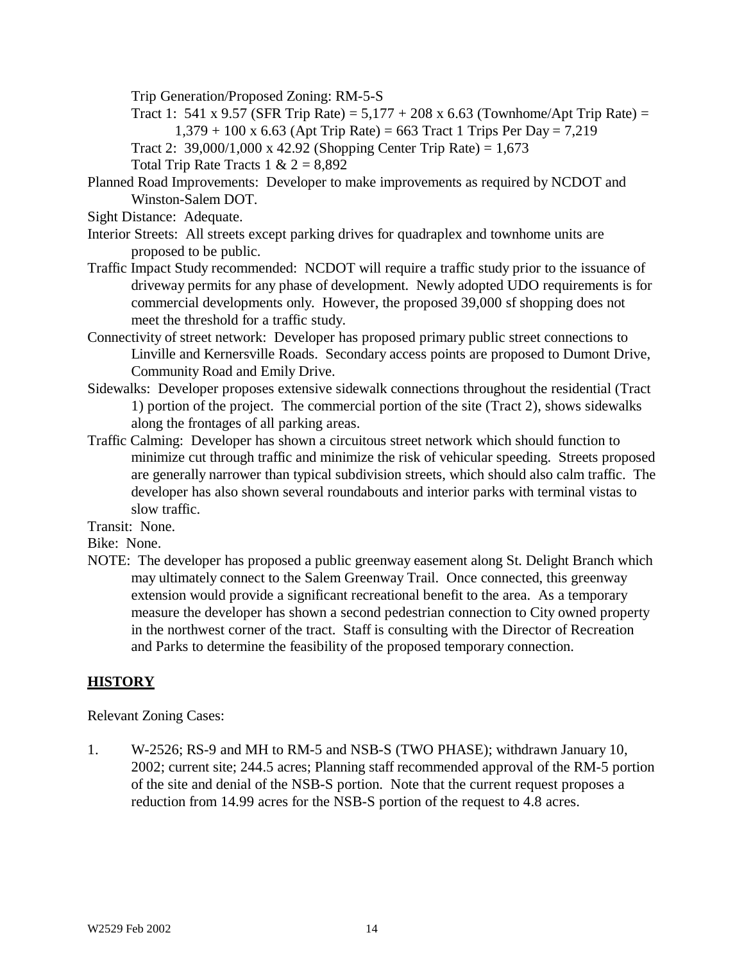Trip Generation/Proposed Zoning: RM-5-S

- Tract 1: 541 x 9.57 (SFR Trip Rate) =  $5,177 + 208$  x 6.63 (Townhome/Apt Trip Rate) =  $1,379 + 100 \text{ x } 6.63$  (Apt Trip Rate) = 663 Tract 1 Trips Per Day = 7,219
- Tract 2:  $39,000/1,000 \text{ x } 42.92$  (Shopping Center Trip Rate) = 1,673

Total Trip Rate Tracts  $1 \& 2 = 8,892$ 

- Planned Road Improvements: Developer to make improvements as required by NCDOT and Winston-Salem DOT.
- Sight Distance: Adequate.
- Interior Streets: All streets except parking drives for quadraplex and townhome units are proposed to be public.
- Traffic Impact Study recommended: NCDOT will require a traffic study prior to the issuance of driveway permits for any phase of development. Newly adopted UDO requirements is for commercial developments only. However, the proposed 39,000 sf shopping does not meet the threshold for a traffic study.
- Connectivity of street network: Developer has proposed primary public street connections to Linville and Kernersville Roads. Secondary access points are proposed to Dumont Drive, Community Road and Emily Drive.
- Sidewalks: Developer proposes extensive sidewalk connections throughout the residential (Tract 1) portion of the project. The commercial portion of the site (Tract 2), shows sidewalks along the frontages of all parking areas.
- Traffic Calming: Developer has shown a circuitous street network which should function to minimize cut through traffic and minimize the risk of vehicular speeding. Streets proposed are generally narrower than typical subdivision streets, which should also calm traffic. The developer has also shown several roundabouts and interior parks with terminal vistas to slow traffic.

Transit: None.

Bike: None.

NOTE: The developer has proposed a public greenway easement along St. Delight Branch which may ultimately connect to the Salem Greenway Trail. Once connected, this greenway extension would provide a significant recreational benefit to the area. As a temporary measure the developer has shown a second pedestrian connection to City owned property in the northwest corner of the tract. Staff is consulting with the Director of Recreation and Parks to determine the feasibility of the proposed temporary connection.

### **HISTORY**

Relevant Zoning Cases:

1. W-2526; RS-9 and MH to RM-5 and NSB-S (TWO PHASE); withdrawn January 10, 2002; current site; 244.5 acres; Planning staff recommended approval of the RM-5 portion of the site and denial of the NSB-S portion. Note that the current request proposes a reduction from 14.99 acres for the NSB-S portion of the request to 4.8 acres.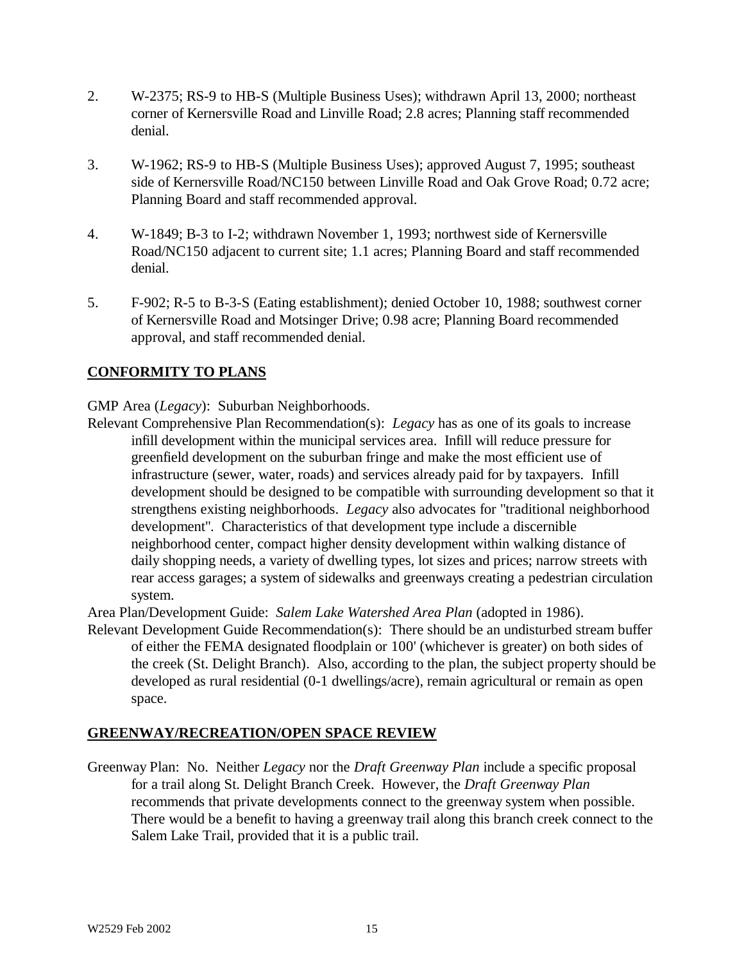- 2. W-2375; RS-9 to HB-S (Multiple Business Uses); withdrawn April 13, 2000; northeast corner of Kernersville Road and Linville Road; 2.8 acres; Planning staff recommended denial.
- 3. W-1962; RS-9 to HB-S (Multiple Business Uses); approved August 7, 1995; southeast side of Kernersville Road/NC150 between Linville Road and Oak Grove Road; 0.72 acre; Planning Board and staff recommended approval.
- 4. W-1849; B-3 to I-2; withdrawn November 1, 1993; northwest side of Kernersville Road/NC150 adjacent to current site; 1.1 acres; Planning Board and staff recommended denial.
- 5. F-902; R-5 to B-3-S (Eating establishment); denied October 10, 1988; southwest corner of Kernersville Road and Motsinger Drive; 0.98 acre; Planning Board recommended approval, and staff recommended denial.

# **CONFORMITY TO PLANS**

GMP Area (*Legacy*): Suburban Neighborhoods.

Relevant Comprehensive Plan Recommendation(s): *Legacy* has as one of its goals to increase infill development within the municipal services area. Infill will reduce pressure for greenfield development on the suburban fringe and make the most efficient use of infrastructure (sewer, water, roads) and services already paid for by taxpayers. Infill development should be designed to be compatible with surrounding development so that it strengthens existing neighborhoods. *Legacy* also advocates for "traditional neighborhood development". Characteristics of that development type include a discernible neighborhood center, compact higher density development within walking distance of daily shopping needs, a variety of dwelling types, lot sizes and prices; narrow streets with rear access garages; a system of sidewalks and greenways creating a pedestrian circulation system.

Area Plan/Development Guide: *Salem Lake Watershed Area Plan* (adopted in 1986).

Relevant Development Guide Recommendation(s): There should be an undisturbed stream buffer of either the FEMA designated floodplain or 100' (whichever is greater) on both sides of the creek (St. Delight Branch). Also, according to the plan, the subject property should be developed as rural residential (0-1 dwellings/acre), remain agricultural or remain as open space.

# **GREENWAY/RECREATION/OPEN SPACE REVIEW**

Greenway Plan: No. Neither *Legacy* nor the *Draft Greenway Plan* include a specific proposal for a trail along St. Delight Branch Creek. However, the *Draft Greenway Plan* recommends that private developments connect to the greenway system when possible. There would be a benefit to having a greenway trail along this branch creek connect to the Salem Lake Trail, provided that it is a public trail.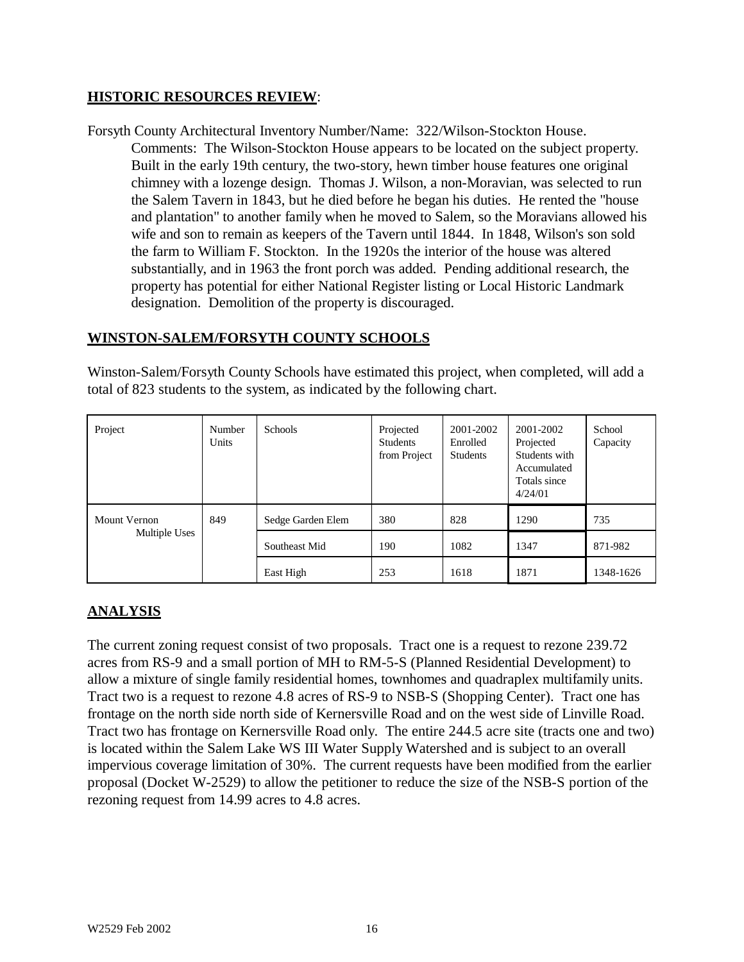### **HISTORIC RESOURCES REVIEW**:

Forsyth County Architectural Inventory Number/Name: 322/Wilson-Stockton House.

Comments: The Wilson-Stockton House appears to be located on the subject property. Built in the early 19th century, the two-story, hewn timber house features one original chimney with a lozenge design. Thomas J. Wilson, a non-Moravian, was selected to run the Salem Tavern in 1843, but he died before he began his duties. He rented the "house and plantation" to another family when he moved to Salem, so the Moravians allowed his wife and son to remain as keepers of the Tavern until 1844. In 1848, Wilson's son sold the farm to William F. Stockton. In the 1920s the interior of the house was altered substantially, and in 1963 the front porch was added. Pending additional research, the property has potential for either National Register listing or Local Historic Landmark designation. Demolition of the property is discouraged.

### **WINSTON-SALEM/FORSYTH COUNTY SCHOOLS**

Winston-Salem/Forsyth County Schools have estimated this project, when completed, will add a total of 823 students to the system, as indicated by the following chart.

| Project                       | Number<br>Units | Schools           | Projected<br><b>Students</b><br>from Project | 2001-2002<br>Enrolled<br><b>Students</b> | 2001-2002<br>Projected<br>Students with<br>Accumulated<br>Totals since<br>4/24/01 | School<br>Capacity |
|-------------------------------|-----------------|-------------------|----------------------------------------------|------------------------------------------|-----------------------------------------------------------------------------------|--------------------|
| Mount Vernon<br>Multiple Uses | 849             | Sedge Garden Elem | 380                                          | 828                                      | 1290                                                                              | 735                |
|                               |                 | Southeast Mid     | 190                                          | 1082                                     | 1347                                                                              | 871-982            |
|                               |                 | East High         | 253                                          | 1618                                     | 1871                                                                              | 1348-1626          |

# **ANALYSIS**

The current zoning request consist of two proposals. Tract one is a request to rezone 239.72 acres from RS-9 and a small portion of MH to RM-5-S (Planned Residential Development) to allow a mixture of single family residential homes, townhomes and quadraplex multifamily units. Tract two is a request to rezone 4.8 acres of RS-9 to NSB-S (Shopping Center). Tract one has frontage on the north side north side of Kernersville Road and on the west side of Linville Road. Tract two has frontage on Kernersville Road only. The entire 244.5 acre site (tracts one and two) is located within the Salem Lake WS III Water Supply Watershed and is subject to an overall impervious coverage limitation of 30%. The current requests have been modified from the earlier proposal (Docket W-2529) to allow the petitioner to reduce the size of the NSB-S portion of the rezoning request from 14.99 acres to 4.8 acres.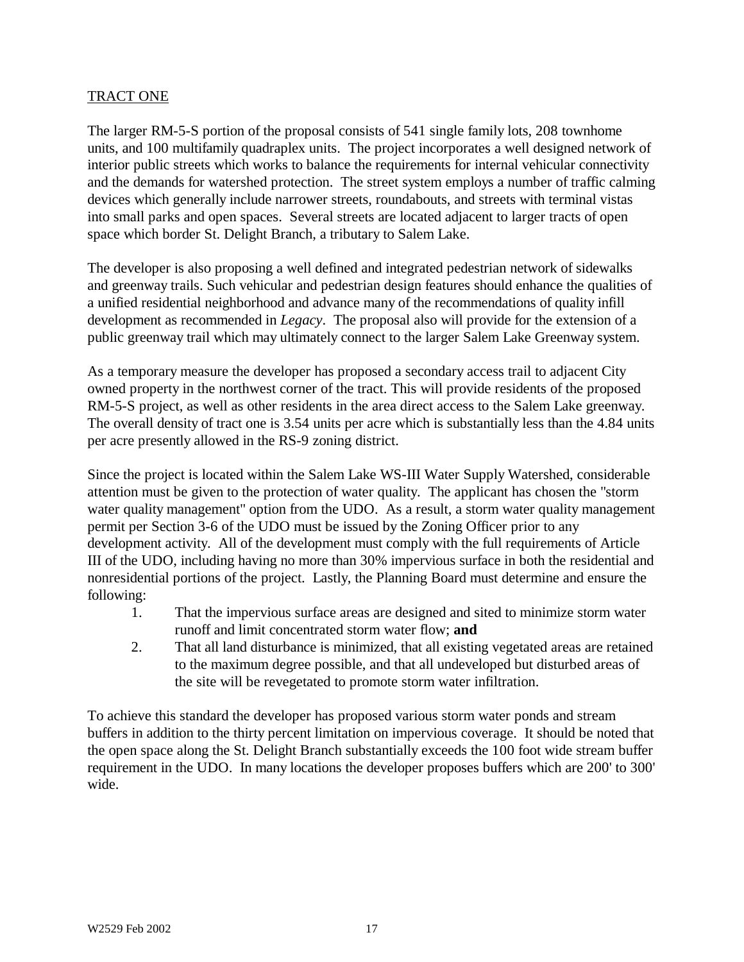### TRACT ONE

The larger RM-5-S portion of the proposal consists of 541 single family lots, 208 townhome units, and 100 multifamily quadraplex units. The project incorporates a well designed network of interior public streets which works to balance the requirements for internal vehicular connectivity and the demands for watershed protection. The street system employs a number of traffic calming devices which generally include narrower streets, roundabouts, and streets with terminal vistas into small parks and open spaces. Several streets are located adjacent to larger tracts of open space which border St. Delight Branch, a tributary to Salem Lake.

The developer is also proposing a well defined and integrated pedestrian network of sidewalks and greenway trails. Such vehicular and pedestrian design features should enhance the qualities of a unified residential neighborhood and advance many of the recommendations of quality infill development as recommended in *Legacy*. The proposal also will provide for the extension of a public greenway trail which may ultimately connect to the larger Salem Lake Greenway system.

As a temporary measure the developer has proposed a secondary access trail to adjacent City owned property in the northwest corner of the tract. This will provide residents of the proposed RM-5-S project, as well as other residents in the area direct access to the Salem Lake greenway. The overall density of tract one is 3.54 units per acre which is substantially less than the 4.84 units per acre presently allowed in the RS-9 zoning district.

Since the project is located within the Salem Lake WS-III Water Supply Watershed, considerable attention must be given to the protection of water quality. The applicant has chosen the "storm water quality management" option from the UDO. As a result, a storm water quality management permit per Section 3-6 of the UDO must be issued by the Zoning Officer prior to any development activity. All of the development must comply with the full requirements of Article III of the UDO, including having no more than 30% impervious surface in both the residential and nonresidential portions of the project. Lastly, the Planning Board must determine and ensure the following:

- 1. That the impervious surface areas are designed and sited to minimize storm water runoff and limit concentrated storm water flow; **and**
- 2. That all land disturbance is minimized, that all existing vegetated areas are retained to the maximum degree possible, and that all undeveloped but disturbed areas of the site will be revegetated to promote storm water infiltration.

To achieve this standard the developer has proposed various storm water ponds and stream buffers in addition to the thirty percent limitation on impervious coverage. It should be noted that the open space along the St. Delight Branch substantially exceeds the 100 foot wide stream buffer requirement in the UDO. In many locations the developer proposes buffers which are 200' to 300' wide.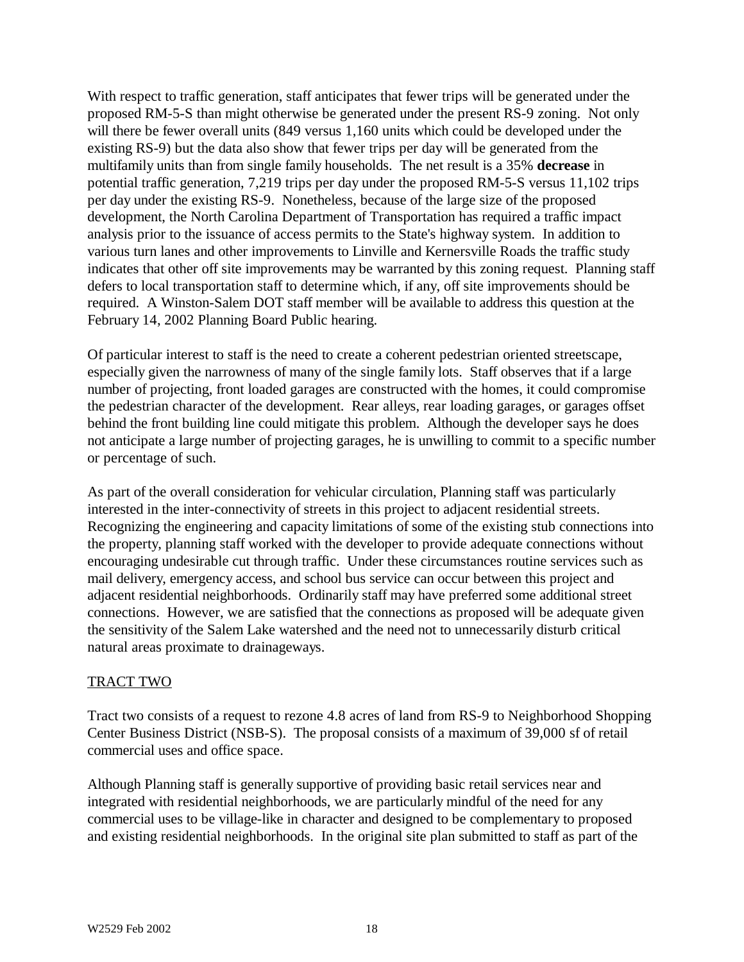With respect to traffic generation, staff anticipates that fewer trips will be generated under the proposed RM-5-S than might otherwise be generated under the present RS-9 zoning. Not only will there be fewer overall units (849 versus 1,160 units which could be developed under the existing RS-9) but the data also show that fewer trips per day will be generated from the multifamily units than from single family households. The net result is a 35% **decrease** in potential traffic generation, 7,219 trips per day under the proposed RM-5-S versus 11,102 trips per day under the existing RS-9. Nonetheless, because of the large size of the proposed development, the North Carolina Department of Transportation has required a traffic impact analysis prior to the issuance of access permits to the State's highway system. In addition to various turn lanes and other improvements to Linville and Kernersville Roads the traffic study indicates that other off site improvements may be warranted by this zoning request. Planning staff defers to local transportation staff to determine which, if any, off site improvements should be required. A Winston-Salem DOT staff member will be available to address this question at the February 14, 2002 Planning Board Public hearing.

Of particular interest to staff is the need to create a coherent pedestrian oriented streetscape, especially given the narrowness of many of the single family lots. Staff observes that if a large number of projecting, front loaded garages are constructed with the homes, it could compromise the pedestrian character of the development. Rear alleys, rear loading garages, or garages offset behind the front building line could mitigate this problem. Although the developer says he does not anticipate a large number of projecting garages, he is unwilling to commit to a specific number or percentage of such.

As part of the overall consideration for vehicular circulation, Planning staff was particularly interested in the inter-connectivity of streets in this project to adjacent residential streets. Recognizing the engineering and capacity limitations of some of the existing stub connections into the property, planning staff worked with the developer to provide adequate connections without encouraging undesirable cut through traffic. Under these circumstances routine services such as mail delivery, emergency access, and school bus service can occur between this project and adjacent residential neighborhoods. Ordinarily staff may have preferred some additional street connections. However, we are satisfied that the connections as proposed will be adequate given the sensitivity of the Salem Lake watershed and the need not to unnecessarily disturb critical natural areas proximate to drainageways.

### TRACT TWO

Tract two consists of a request to rezone 4.8 acres of land from RS-9 to Neighborhood Shopping Center Business District (NSB-S). The proposal consists of a maximum of 39,000 sf of retail commercial uses and office space.

Although Planning staff is generally supportive of providing basic retail services near and integrated with residential neighborhoods, we are particularly mindful of the need for any commercial uses to be village-like in character and designed to be complementary to proposed and existing residential neighborhoods. In the original site plan submitted to staff as part of the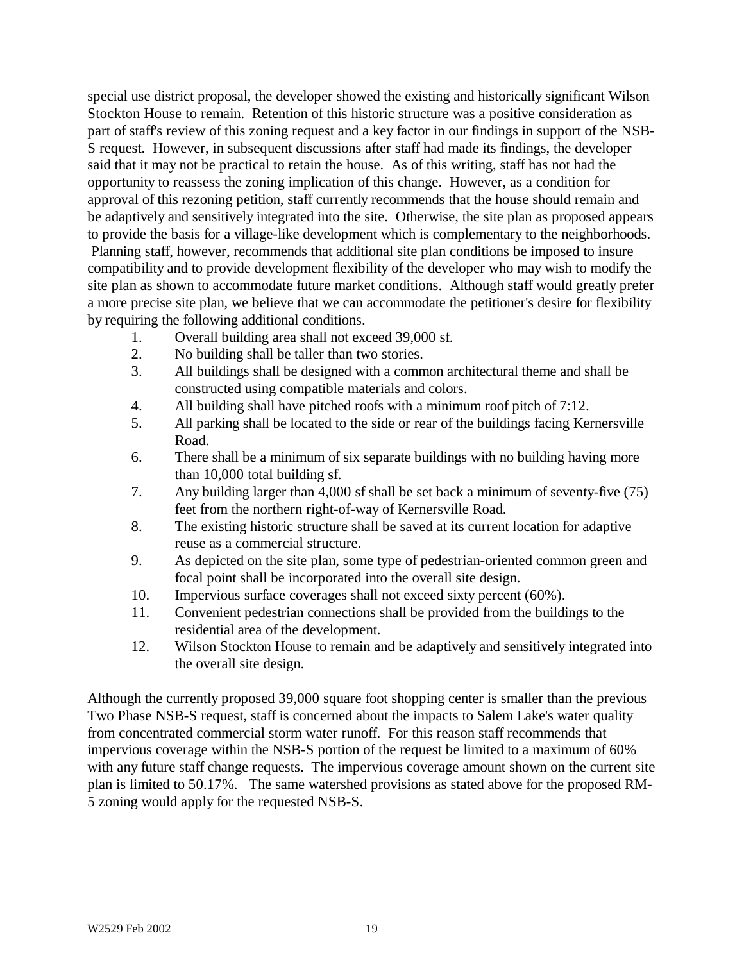special use district proposal, the developer showed the existing and historically significant Wilson Stockton House to remain. Retention of this historic structure was a positive consideration as part of staff's review of this zoning request and a key factor in our findings in support of the NSB-S request. However, in subsequent discussions after staff had made its findings, the developer said that it may not be practical to retain the house. As of this writing, staff has not had the opportunity to reassess the zoning implication of this change. However, as a condition for approval of this rezoning petition, staff currently recommends that the house should remain and be adaptively and sensitively integrated into the site. Otherwise, the site plan as proposed appears to provide the basis for a village-like development which is complementary to the neighborhoods. Planning staff, however, recommends that additional site plan conditions be imposed to insure compatibility and to provide development flexibility of the developer who may wish to modify the site plan as shown to accommodate future market conditions. Although staff would greatly prefer a more precise site plan, we believe that we can accommodate the petitioner's desire for flexibility by requiring the following additional conditions.

- 1. Overall building area shall not exceed 39,000 sf.
- 2. No building shall be taller than two stories.
- 3. All buildings shall be designed with a common architectural theme and shall be constructed using compatible materials and colors.
- 4. All building shall have pitched roofs with a minimum roof pitch of 7:12.
- 5. All parking shall be located to the side or rear of the buildings facing Kernersville Road.
- 6. There shall be a minimum of six separate buildings with no building having more than 10,000 total building sf.
- 7. Any building larger than 4,000 sf shall be set back a minimum of seventy-five (75) feet from the northern right-of-way of Kernersville Road.
- 8. The existing historic structure shall be saved at its current location for adaptive reuse as a commercial structure.
- 9. As depicted on the site plan, some type of pedestrian-oriented common green and focal point shall be incorporated into the overall site design.
- 10. Impervious surface coverages shall not exceed sixty percent (60%).
- 11. Convenient pedestrian connections shall be provided from the buildings to the residential area of the development.
- 12. Wilson Stockton House to remain and be adaptively and sensitively integrated into the overall site design.

Although the currently proposed 39,000 square foot shopping center is smaller than the previous Two Phase NSB-S request, staff is concerned about the impacts to Salem Lake's water quality from concentrated commercial storm water runoff. For this reason staff recommends that impervious coverage within the NSB-S portion of the request be limited to a maximum of 60% with any future staff change requests. The impervious coverage amount shown on the current site plan is limited to 50.17%. The same watershed provisions as stated above for the proposed RM-5 zoning would apply for the requested NSB-S.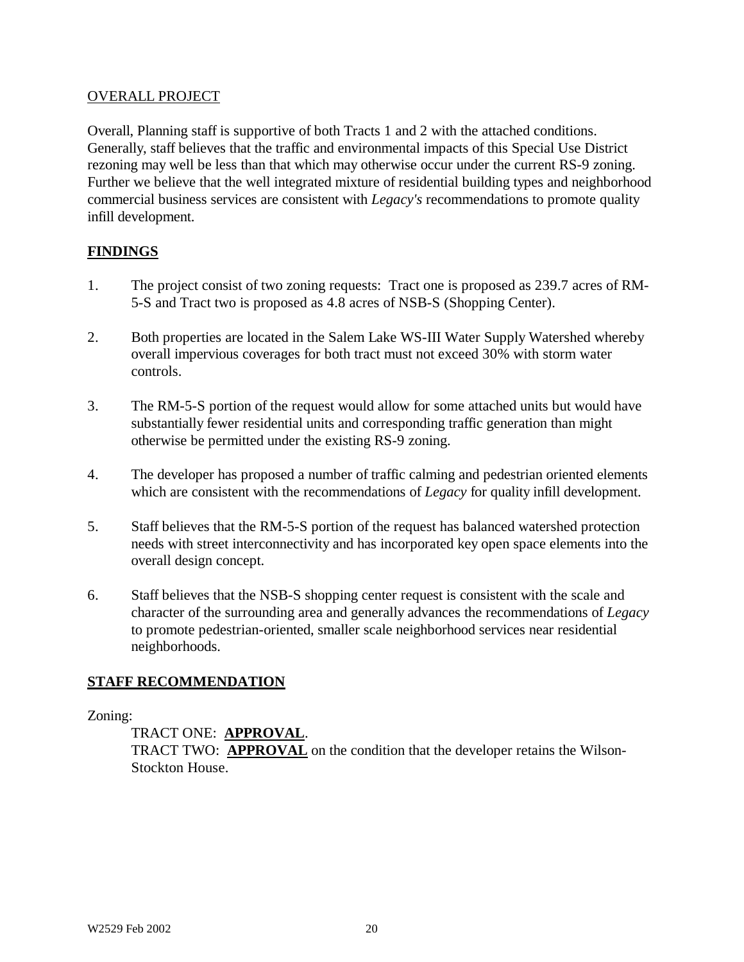#### OVERALL PROJECT

Overall, Planning staff is supportive of both Tracts 1 and 2 with the attached conditions. Generally, staff believes that the traffic and environmental impacts of this Special Use District rezoning may well be less than that which may otherwise occur under the current RS-9 zoning. Further we believe that the well integrated mixture of residential building types and neighborhood commercial business services are consistent with *Legacy's* recommendations to promote quality infill development.

### **FINDINGS**

- 1. The project consist of two zoning requests: Tract one is proposed as 239.7 acres of RM-5-S and Tract two is proposed as 4.8 acres of NSB-S (Shopping Center).
- 2. Both properties are located in the Salem Lake WS-III Water Supply Watershed whereby overall impervious coverages for both tract must not exceed 30% with storm water controls.
- 3. The RM-5-S portion of the request would allow for some attached units but would have substantially fewer residential units and corresponding traffic generation than might otherwise be permitted under the existing RS-9 zoning.
- 4. The developer has proposed a number of traffic calming and pedestrian oriented elements which are consistent with the recommendations of *Legacy* for quality infill development.
- 5. Staff believes that the RM-5-S portion of the request has balanced watershed protection needs with street interconnectivity and has incorporated key open space elements into the overall design concept.
- 6. Staff believes that the NSB-S shopping center request is consistent with the scale and character of the surrounding area and generally advances the recommendations of *Legacy* to promote pedestrian-oriented, smaller scale neighborhood services near residential neighborhoods.

### **STAFF RECOMMENDATION**

#### Zoning:

TRACT ONE: **APPROVAL**.

TRACT TWO: **APPROVAL** on the condition that the developer retains the Wilson-Stockton House.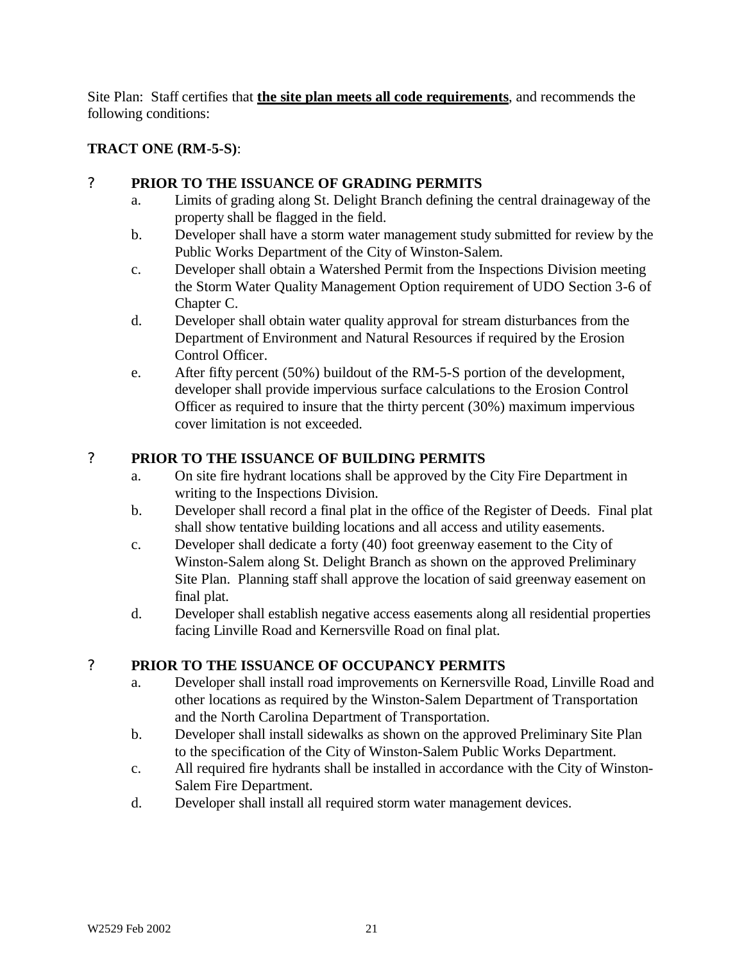Site Plan: Staff certifies that **the site plan meets all code requirements**, and recommends the following conditions:

# **TRACT ONE (RM-5-S)**:

### ? **PRIOR TO THE ISSUANCE OF GRADING PERMITS**

- a. Limits of grading along St. Delight Branch defining the central drainageway of the property shall be flagged in the field.
- b. Developer shall have a storm water management study submitted for review by the Public Works Department of the City of Winston-Salem.
- c. Developer shall obtain a Watershed Permit from the Inspections Division meeting the Storm Water Quality Management Option requirement of UDO Section 3-6 of Chapter C.
- d. Developer shall obtain water quality approval for stream disturbances from the Department of Environment and Natural Resources if required by the Erosion Control Officer.
- e. After fifty percent (50%) buildout of the RM-5-S portion of the development, developer shall provide impervious surface calculations to the Erosion Control Officer as required to insure that the thirty percent (30%) maximum impervious cover limitation is not exceeded.

# ? **PRIOR TO THE ISSUANCE OF BUILDING PERMITS**

- a. On site fire hydrant locations shall be approved by the City Fire Department in writing to the Inspections Division.
- b. Developer shall record a final plat in the office of the Register of Deeds. Final plat shall show tentative building locations and all access and utility easements.
- c. Developer shall dedicate a forty (40) foot greenway easement to the City of Winston-Salem along St. Delight Branch as shown on the approved Preliminary Site Plan. Planning staff shall approve the location of said greenway easement on final plat.
- d. Developer shall establish negative access easements along all residential properties facing Linville Road and Kernersville Road on final plat.

# ? **PRIOR TO THE ISSUANCE OF OCCUPANCY PERMITS**

- a. Developer shall install road improvements on Kernersville Road, Linville Road and other locations as required by the Winston-Salem Department of Transportation and the North Carolina Department of Transportation.
- b. Developer shall install sidewalks as shown on the approved Preliminary Site Plan to the specification of the City of Winston-Salem Public Works Department.
- c. All required fire hydrants shall be installed in accordance with the City of Winston-Salem Fire Department.
- d. Developer shall install all required storm water management devices.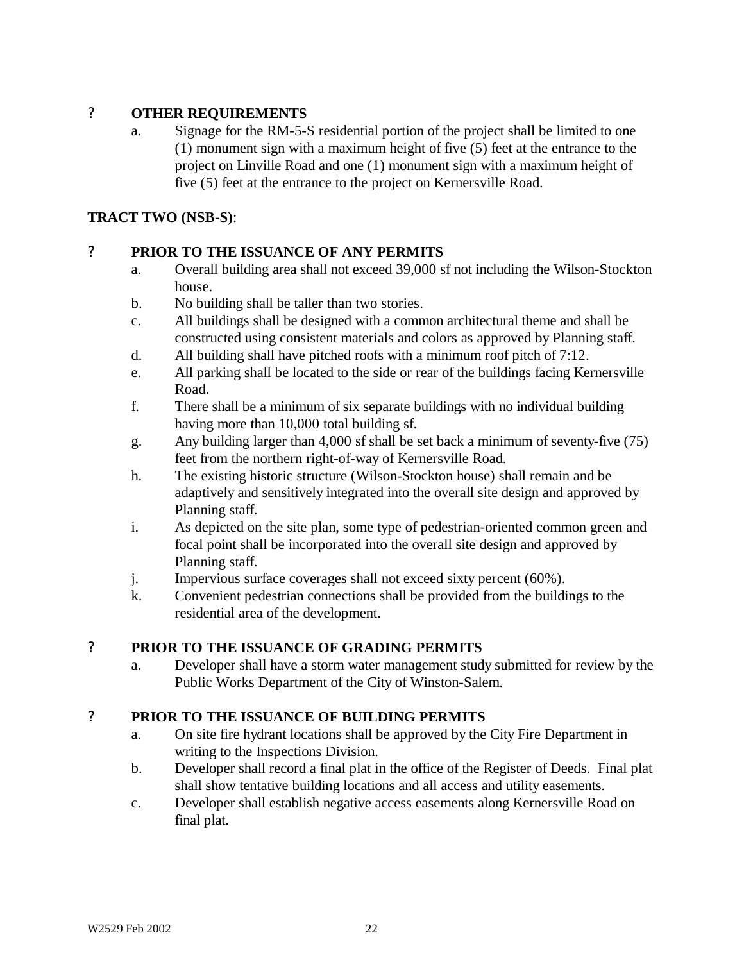# ? **OTHER REQUIREMENTS**

a. Signage for the RM-5-S residential portion of the project shall be limited to one (1) monument sign with a maximum height of five (5) feet at the entrance to the project on Linville Road and one (1) monument sign with a maximum height of five (5) feet at the entrance to the project on Kernersville Road.

### **TRACT TWO (NSB-S)**:

# ? **PRIOR TO THE ISSUANCE OF ANY PERMITS**

- a. Overall building area shall not exceed 39,000 sf not including the Wilson-Stockton house.
- b. No building shall be taller than two stories.
- c. All buildings shall be designed with a common architectural theme and shall be constructed using consistent materials and colors as approved by Planning staff.
- d. All building shall have pitched roofs with a minimum roof pitch of 7:12.
- e. All parking shall be located to the side or rear of the buildings facing Kernersville Road.
- f. There shall be a minimum of six separate buildings with no individual building having more than 10,000 total building sf.
- g. Any building larger than 4,000 sf shall be set back a minimum of seventy-five (75) feet from the northern right-of-way of Kernersville Road.
- h. The existing historic structure (Wilson-Stockton house) shall remain and be adaptively and sensitively integrated into the overall site design and approved by Planning staff.
- i. As depicted on the site plan, some type of pedestrian-oriented common green and focal point shall be incorporated into the overall site design and approved by Planning staff.
- j. Impervious surface coverages shall not exceed sixty percent (60%).
- k. Convenient pedestrian connections shall be provided from the buildings to the residential area of the development.

# ? **PRIOR TO THE ISSUANCE OF GRADING PERMITS**

a. Developer shall have a storm water management study submitted for review by the Public Works Department of the City of Winston-Salem.

### ? **PRIOR TO THE ISSUANCE OF BUILDING PERMITS**

- a. On site fire hydrant locations shall be approved by the City Fire Department in writing to the Inspections Division.
- b. Developer shall record a final plat in the office of the Register of Deeds. Final plat shall show tentative building locations and all access and utility easements.
- c. Developer shall establish negative access easements along Kernersville Road on final plat.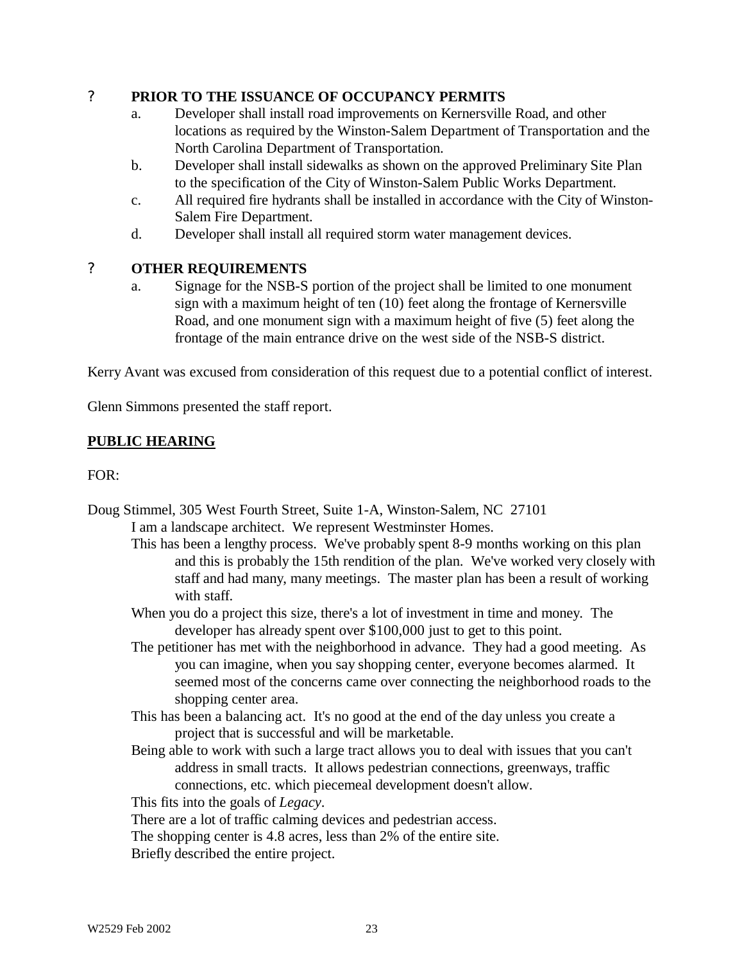### ? **PRIOR TO THE ISSUANCE OF OCCUPANCY PERMITS**

- a. Developer shall install road improvements on Kernersville Road, and other locations as required by the Winston-Salem Department of Transportation and the North Carolina Department of Transportation.
- b. Developer shall install sidewalks as shown on the approved Preliminary Site Plan to the specification of the City of Winston-Salem Public Works Department.
- c. All required fire hydrants shall be installed in accordance with the City of Winston-Salem Fire Department.
- d. Developer shall install all required storm water management devices.

# ? **OTHER REQUIREMENTS**

a. Signage for the NSB-S portion of the project shall be limited to one monument sign with a maximum height of ten (10) feet along the frontage of Kernersville Road, and one monument sign with a maximum height of five (5) feet along the frontage of the main entrance drive on the west side of the NSB-S district.

Kerry Avant was excused from consideration of this request due to a potential conflict of interest.

Glenn Simmons presented the staff report.

# **PUBLIC HEARING**

FOR:

- Doug Stimmel, 305 West Fourth Street, Suite 1-A, Winston-Salem, NC 27101 I am a landscape architect. We represent Westminster Homes.
	- This has been a lengthy process. We've probably spent 8-9 months working on this plan and this is probably the 15th rendition of the plan. We've worked very closely with staff and had many, many meetings. The master plan has been a result of working with staff.
	- When you do a project this size, there's a lot of investment in time and money. The developer has already spent over \$100,000 just to get to this point.
	- The petitioner has met with the neighborhood in advance. They had a good meeting. As you can imagine, when you say shopping center, everyone becomes alarmed. It seemed most of the concerns came over connecting the neighborhood roads to the shopping center area.
	- This has been a balancing act. It's no good at the end of the day unless you create a project that is successful and will be marketable.
	- Being able to work with such a large tract allows you to deal with issues that you can't address in small tracts. It allows pedestrian connections, greenways, traffic connections, etc. which piecemeal development doesn't allow.

This fits into the goals of *Legacy*.

There are a lot of traffic calming devices and pedestrian access.

The shopping center is 4.8 acres, less than 2% of the entire site.

Briefly described the entire project.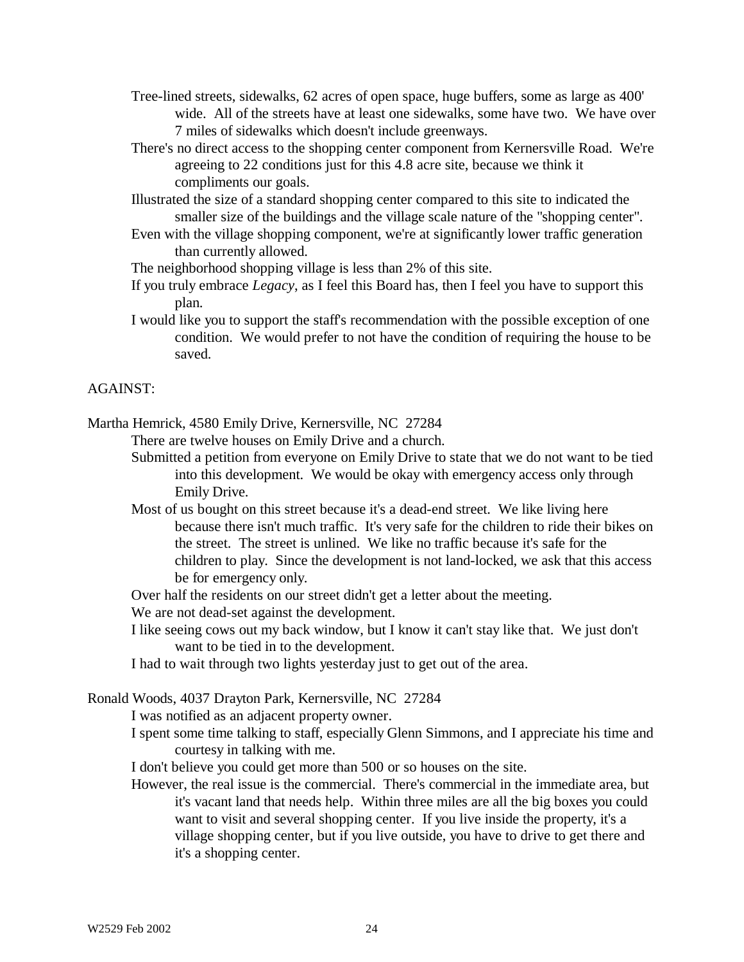- Tree-lined streets, sidewalks, 62 acres of open space, huge buffers, some as large as 400' wide. All of the streets have at least one sidewalks, some have two. We have over 7 miles of sidewalks which doesn't include greenways.
- There's no direct access to the shopping center component from Kernersville Road. We're agreeing to 22 conditions just for this 4.8 acre site, because we think it compliments our goals.
- Illustrated the size of a standard shopping center compared to this site to indicated the smaller size of the buildings and the village scale nature of the "shopping center".
- Even with the village shopping component, we're at significantly lower traffic generation than currently allowed.
- The neighborhood shopping village is less than 2% of this site.
- If you truly embrace *Legacy*, as I feel this Board has, then I feel you have to support this plan.
- I would like you to support the staff's recommendation with the possible exception of one condition. We would prefer to not have the condition of requiring the house to be saved.

#### AGAINST:

Martha Hemrick, 4580 Emily Drive, Kernersville, NC 27284

There are twelve houses on Emily Drive and a church.

- Submitted a petition from everyone on Emily Drive to state that we do not want to be tied into this development. We would be okay with emergency access only through Emily Drive.
- Most of us bought on this street because it's a dead-end street. We like living here because there isn't much traffic. It's very safe for the children to ride their bikes on the street. The street is unlined. We like no traffic because it's safe for the children to play. Since the development is not land-locked, we ask that this access be for emergency only.

Over half the residents on our street didn't get a letter about the meeting.

We are not dead-set against the development.

I like seeing cows out my back window, but I know it can't stay like that. We just don't want to be tied in to the development.

I had to wait through two lights yesterday just to get out of the area.

Ronald Woods, 4037 Drayton Park, Kernersville, NC 27284

I was notified as an adjacent property owner.

I spent some time talking to staff, especially Glenn Simmons, and I appreciate his time and courtesy in talking with me.

I don't believe you could get more than 500 or so houses on the site.

However, the real issue is the commercial. There's commercial in the immediate area, but it's vacant land that needs help. Within three miles are all the big boxes you could want to visit and several shopping center. If you live inside the property, it's a village shopping center, but if you live outside, you have to drive to get there and it's a shopping center.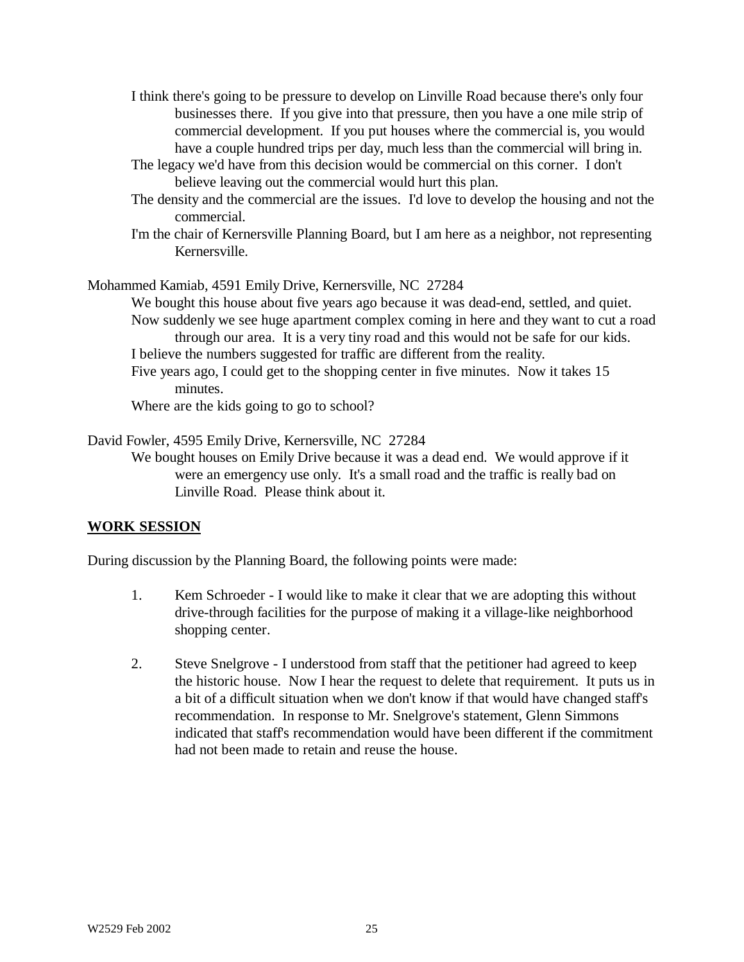- I think there's going to be pressure to develop on Linville Road because there's only four businesses there. If you give into that pressure, then you have a one mile strip of commercial development. If you put houses where the commercial is, you would have a couple hundred trips per day, much less than the commercial will bring in.
- The legacy we'd have from this decision would be commercial on this corner. I don't believe leaving out the commercial would hurt this plan.
- The density and the commercial are the issues. I'd love to develop the housing and not the commercial.
- I'm the chair of Kernersville Planning Board, but I am here as a neighbor, not representing Kernersville.

Mohammed Kamiab, 4591 Emily Drive, Kernersville, NC 27284

We bought this house about five years ago because it was dead-end, settled, and quiet. Now suddenly we see huge apartment complex coming in here and they want to cut a road through our area. It is a very tiny road and this would not be safe for our kids.

I believe the numbers suggested for traffic are different from the reality.

Five years ago, I could get to the shopping center in five minutes. Now it takes 15 minutes.

Where are the kids going to go to school?

David Fowler, 4595 Emily Drive, Kernersville, NC 27284

We bought houses on Emily Drive because it was a dead end. We would approve if it were an emergency use only. It's a small road and the traffic is really bad on Linville Road. Please think about it.

#### **WORK SESSION**

During discussion by the Planning Board, the following points were made:

- 1. Kem Schroeder I would like to make it clear that we are adopting this without drive-through facilities for the purpose of making it a village-like neighborhood shopping center.
- 2. Steve Snelgrove I understood from staff that the petitioner had agreed to keep the historic house. Now I hear the request to delete that requirement. It puts us in a bit of a difficult situation when we don't know if that would have changed staff's recommendation. In response to Mr. Snelgrove's statement, Glenn Simmons indicated that staff's recommendation would have been different if the commitment had not been made to retain and reuse the house.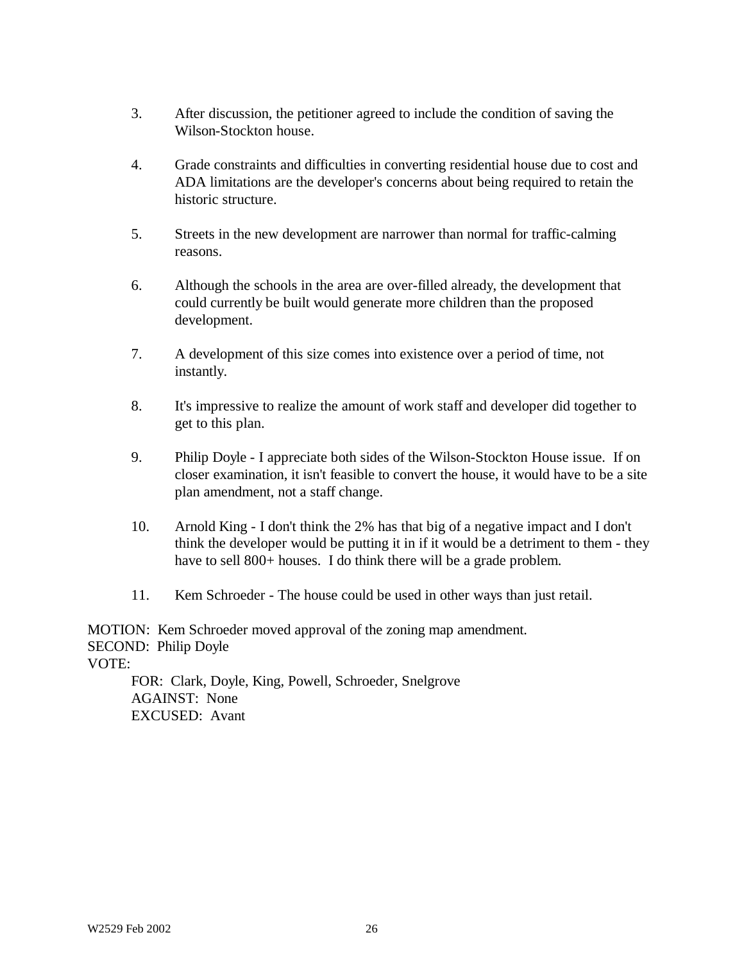- 3. After discussion, the petitioner agreed to include the condition of saving the Wilson-Stockton house.
- 4. Grade constraints and difficulties in converting residential house due to cost and ADA limitations are the developer's concerns about being required to retain the historic structure.
- 5. Streets in the new development are narrower than normal for traffic-calming reasons.
- 6. Although the schools in the area are over-filled already, the development that could currently be built would generate more children than the proposed development.
- 7. A development of this size comes into existence over a period of time, not instantly.
- 8. It's impressive to realize the amount of work staff and developer did together to get to this plan.
- 9. Philip Doyle I appreciate both sides of the Wilson-Stockton House issue. If on closer examination, it isn't feasible to convert the house, it would have to be a site plan amendment, not a staff change.
- 10. Arnold King I don't think the 2% has that big of a negative impact and I don't think the developer would be putting it in if it would be a detriment to them - they have to sell 800+ houses. I do think there will be a grade problem.
- 11. Kem Schroeder The house could be used in other ways than just retail.

MOTION: Kem Schroeder moved approval of the zoning map amendment. SECOND: Philip Doyle VOTE: FOR: Clark, Doyle, King, Powell, Schroeder, Snelgrove

AGAINST: None EXCUSED: Avant